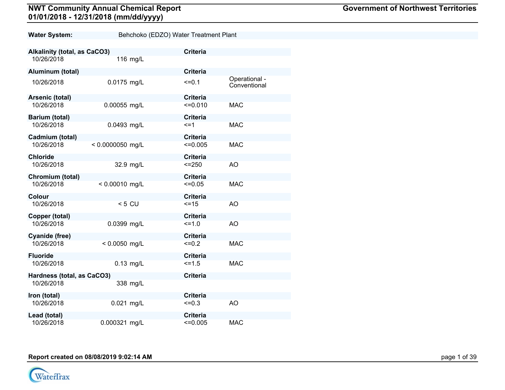| <b>Government of Northwest Territories</b> |  |  |
|--------------------------------------------|--|--|
|--------------------------------------------|--|--|

| <b>Water System:</b>                | Behchoko (EDZO) Water Treatment Plant |                 |                               |  |
|-------------------------------------|---------------------------------------|-----------------|-------------------------------|--|
|                                     |                                       |                 |                               |  |
| <b>Alkalinity (total, as CaCO3)</b> |                                       | <b>Criteria</b> |                               |  |
| 10/26/2018                          | 116 mg/L                              |                 |                               |  |
| Aluminum (total)                    |                                       | <b>Criteria</b> |                               |  |
| 10/26/2018                          | 0.0175 mg/L                           | $=0.1$          | Operational -<br>Conventional |  |
| Arsenic (total)                     |                                       | <b>Criteria</b> |                               |  |
| 10/26/2018                          | 0.00055 mg/L                          | $=0.010$        | <b>MAC</b>                    |  |
| Barium (total)                      |                                       | <b>Criteria</b> |                               |  |
| 10/26/2018                          | 0.0493 mg/L                           | <=1             | <b>MAC</b>                    |  |
| Cadmium (total)                     |                                       | <b>Criteria</b> |                               |  |
| 10/26/2018                          | $< 0.0000050$ mg/L                    | $\leq 0.005$    | <b>MAC</b>                    |  |
| <b>Chloride</b>                     |                                       | <b>Criteria</b> |                               |  |
| 10/26/2018                          | 32.9 mg/L                             | $<=250$         | AO                            |  |
| Chromium (total)                    |                                       | <b>Criteria</b> |                               |  |
| 10/26/2018                          | $< 0.00010$ mg/L                      | $=0.05$         | <b>MAC</b>                    |  |
| Colour                              |                                       | <b>Criteria</b> |                               |  |
| 10/26/2018                          | $< 5$ CU                              | $=15$           | <b>AO</b>                     |  |
| Copper (total)                      |                                       | <b>Criteria</b> |                               |  |
| 10/26/2018                          | 0.0399 mg/L                           | $=1.0$          | AO                            |  |
| <b>Cyanide (free)</b>               |                                       | <b>Criteria</b> |                               |  |
| 10/26/2018                          | $< 0.0050$ mg/L                       | $=0.2$          | <b>MAC</b>                    |  |
| <b>Fluoride</b>                     |                                       | <b>Criteria</b> |                               |  |
| 10/26/2018                          | $0.13$ mg/L                           | $5 = 1.5$       | <b>MAC</b>                    |  |
| Hardness (total, as CaCO3)          |                                       | <b>Criteria</b> |                               |  |
| 10/26/2018                          | 338 mg/L                              |                 |                               |  |
| Iron (total)                        |                                       | <b>Criteria</b> |                               |  |
| 10/26/2018                          | $0.021$ mg/L                          | $=0.3$          | AO                            |  |
| Lead (total)                        |                                       | <b>Criteria</b> |                               |  |
| 10/26/2018                          | 0.000321 mg/L                         | $\leq 0.005$    | <b>MAC</b>                    |  |

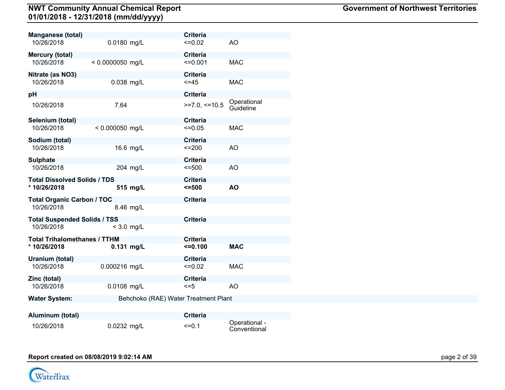| <b>Manganese (total)</b>            |                    |                                      | <b>Criteria</b> |                          |
|-------------------------------------|--------------------|--------------------------------------|-----------------|--------------------------|
| 10/26/2018                          | 0.0180 mg/L        |                                      | $=0.02$         | <b>AO</b>                |
| <b>Mercury (total)</b>              |                    |                                      | <b>Criteria</b> |                          |
| 10/26/2018                          | $< 0.0000050$ mg/L |                                      | $\leq 0.001$    | <b>MAC</b>               |
| Nitrate (as NO3)                    |                    |                                      | <b>Criteria</b> |                          |
| 10/26/2018                          | 0.038 mg/L         |                                      | $< = 45$        | <b>MAC</b>               |
| pH                                  |                    |                                      | <b>Criteria</b> |                          |
| 10/26/2018                          | 7.64               |                                      | $>=7.0,<=10.5$  | Operational<br>Guideline |
| Selenium (total)                    |                    |                                      | <b>Criteria</b> |                          |
| 10/26/2018                          | $< 0.000050$ mg/L  |                                      | $=0.05$         | <b>MAC</b>               |
| Sodium (total)                      |                    |                                      | <b>Criteria</b> |                          |
| 10/26/2018                          | 16.6 mg/L          |                                      | $=200$          | <b>AO</b>                |
| <b>Sulphate</b>                     |                    |                                      | <b>Criteria</b> |                          |
| 10/26/2018                          | 204 mg/L           |                                      | $= 500$         | AO                       |
| <b>Total Dissolved Solids / TDS</b> |                    |                                      | <b>Criteria</b> |                          |
| * 10/26/2018                        | 515 mg/L           |                                      | 5500            | <b>AO</b>                |
| <b>Total Organic Carbon / TOC</b>   |                    |                                      | <b>Criteria</b> |                          |
| 10/26/2018                          | 8.46 mg/L          |                                      |                 |                          |
| <b>Total Suspended Solids / TSS</b> |                    |                                      | <b>Criteria</b> |                          |
| 10/26/2018                          | $<$ 3.0 mg/L       |                                      |                 |                          |
| <b>Total Trihalomethanes / TTHM</b> |                    |                                      | <b>Criteria</b> |                          |
| * 10/26/2018                        | 0.131 mg/L         |                                      | $= 0.100$       | <b>MAC</b>               |
| Uranium (total)                     |                    |                                      | <b>Criteria</b> |                          |
| 10/26/2018                          | 0.000216 mg/L      |                                      | $=0.02$         | <b>MAC</b>               |
| Zinc (total)                        |                    |                                      | <b>Criteria</b> |                          |
| 10/26/2018                          | 0.0108 mg/L        |                                      | $\leq$ =5       | AO                       |
| <b>Water System:</b>                |                    | Behchoko (RAE) Water Treatment Plant |                 |                          |
|                                     |                    |                                      |                 |                          |
| Aluminum (total)                    |                    |                                      | <b>Criteria</b> |                          |

10/26/2018 0.0232 mg/L <=0.1 Operational - Conventional

#### **Report created on 08/08/2019 9:02:14 AM** page 2 of 39

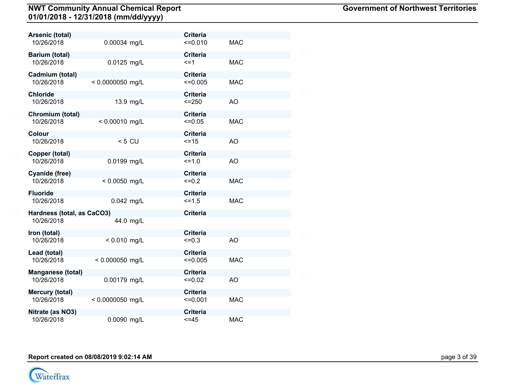| Arsenic (total)            |                    | <b>Criteria</b> |            |
|----------------------------|--------------------|-----------------|------------|
| 10/26/2018                 | 0.00034 mg/L       | $=0.010$        | <b>MAC</b> |
| Barium (total)             |                    | <b>Criteria</b> |            |
| 10/26/2018                 | 0.0125 mg/L        | $\leq$ =1       | <b>MAC</b> |
| Cadmium (total)            |                    | <b>Criteria</b> |            |
| 10/26/2018                 | $< 0.0000050$ mg/L | $\leq 0.005$    | <b>MAC</b> |
| <b>Chloride</b>            |                    | <b>Criteria</b> |            |
| 10/26/2018                 | 13.9 mg/L          | $= 250$         | AO         |
| Chromium (total)           |                    | <b>Criteria</b> |            |
| 10/26/2018                 | $< 0.00010$ mg/L   | $=0.05$         | <b>MAC</b> |
| Colour                     |                    | <b>Criteria</b> |            |
| 10/26/2018                 | $< 5$ CU           | $=15$           | AO         |
| Copper (total)             |                    | <b>Criteria</b> |            |
| 10/26/2018                 | 0.0199 mg/L        | $=1.0$          | AO         |
| Cyanide (free)             |                    | <b>Criteria</b> |            |
| 10/26/2018                 | $< 0.0050$ mg/L    | $=0.2$          | <b>MAC</b> |
| <b>Fluoride</b>            |                    | <b>Criteria</b> |            |
| 10/26/2018                 | $0.042$ mg/L       | $=1.5$          | <b>MAC</b> |
| Hardness (total, as CaCO3) |                    | <b>Criteria</b> |            |
| 10/26/2018                 | 44.0 mg/L          |                 |            |
| Iron (total)               |                    | <b>Criteria</b> |            |
| 10/26/2018                 | $< 0.010$ mg/L     | $=0.3$          | <b>AO</b>  |
| Lead (total)               |                    | <b>Criteria</b> |            |
| 10/26/2018                 | < 0.000050 mg/L    | $\leq 0.005$    | <b>MAC</b> |
| Manganese (total)          |                    | <b>Criteria</b> |            |
| 10/26/2018                 | 0.00179 mg/L       | $=0.02$         | AO         |
| Mercury (total)            |                    | <b>Criteria</b> |            |
| 10/26/2018                 | $< 0.0000050$ mg/L | $=0.001$        | <b>MAC</b> |
| Nitrate (as NO3)           |                    | <b>Criteria</b> |            |
| 10/26/2018                 | 0.0090 mg/L        | $\leq$ = 45     | <b>MAC</b> |

**Report created on 08/08/2019 9:02:14 AM** page 1 of 39

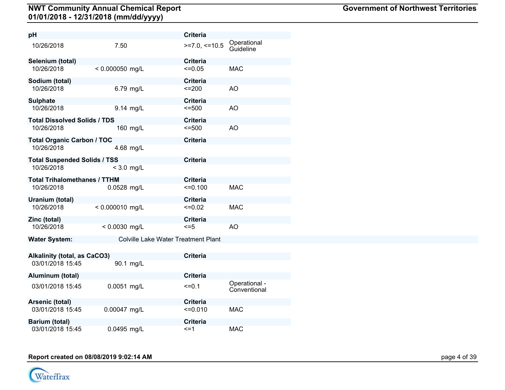| рH                                  |                   |                                            | <b>Criteria</b> |                               |
|-------------------------------------|-------------------|--------------------------------------------|-----------------|-------------------------------|
| 10/26/2018                          | 7.50              |                                            | $>=7.0,<=10.5$  | Operational<br>Guideline      |
| Selenium (total)                    |                   |                                            | <b>Criteria</b> |                               |
| 10/26/2018                          | $< 0.000050$ mg/L |                                            | $\leq 0.05$     | <b>MAC</b>                    |
| Sodium (total)                      |                   |                                            | <b>Criteria</b> |                               |
| 10/26/2018                          |                   | 6.79 mg/L                                  | $=200$          | AO                            |
| <b>Sulphate</b>                     |                   |                                            | <b>Criteria</b> |                               |
| 10/26/2018                          |                   | 9.14 mg/L                                  | 5500            | AO                            |
| <b>Total Dissolved Solids / TDS</b> |                   |                                            | <b>Criteria</b> |                               |
| 10/26/2018                          |                   | 160 mg/L                                   | $= 500$         | AO                            |
| <b>Total Organic Carbon / TOC</b>   |                   |                                            | <b>Criteria</b> |                               |
| 10/26/2018                          |                   | 4.68 mg/L                                  |                 |                               |
| <b>Total Suspended Solids / TSS</b> |                   |                                            | <b>Criteria</b> |                               |
| 10/26/2018                          | $<$ 3.0 mg/L      |                                            |                 |                               |
| <b>Total Trihalomethanes / TTHM</b> |                   |                                            | <b>Criteria</b> |                               |
| 10/26/2018                          | 0.0528 mg/L       |                                            | $=0.100$        | <b>MAC</b>                    |
| Uranium (total)                     |                   |                                            | <b>Criteria</b> |                               |
| 10/26/2018                          | $< 0.000010$ mg/L |                                            | $\leq 0.02$     | <b>MAC</b>                    |
| Zinc (total)                        |                   |                                            | <b>Criteria</b> |                               |
| 10/26/2018                          | $< 0.0030$ mg/L   |                                            | $\leq$ =5       | AO                            |
| <b>Water System:</b>                |                   | <b>Colville Lake Water Treatment Plant</b> |                 |                               |
|                                     |                   |                                            |                 |                               |
| Alkalinity (total, as CaCO3)        |                   |                                            | <b>Criteria</b> |                               |
| 03/01/2018 15:45                    |                   | 90.1 mg/L                                  |                 |                               |
| Aluminum (total)                    |                   |                                            | <b>Criteria</b> |                               |
| 03/01/2018 15:45                    | 0.0051 mg/L       |                                            | $=0.1$          | Operational -<br>Conventional |
| Arsenic (total)                     |                   |                                            | <b>Criteria</b> |                               |
| 03/01/2018 15:45                    | 0.00047 mg/L      |                                            | $\leq 0.010$    | <b>MAC</b>                    |

**Report created on 08/08/2019 9:02:14 AM** page 4 of 39

**Barium (total) Criteria**

03/01/2018 15:45 0.0495 mg/L <=1 MAC

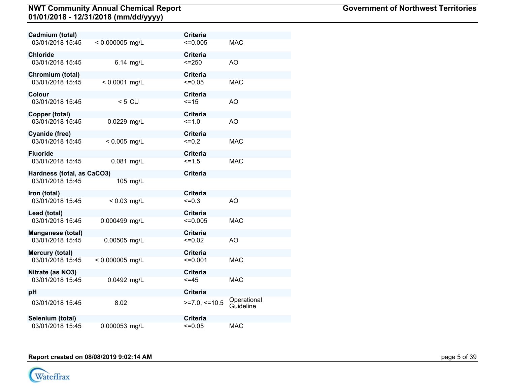| Cadmium (total)            |                   |           | <b>Criteria</b> |                          |
|----------------------------|-------------------|-----------|-----------------|--------------------------|
| 03/01/2018 15:45           | $< 0.000005$ mg/L |           | $\leq 0.005$    | <b>MAC</b>               |
| Chloride                   |                   |           | <b>Criteria</b> |                          |
| 03/01/2018 15:45           |                   | 6.14 mg/L | $<=250$         | AO                       |
| Chromium (total)           |                   |           | <b>Criteria</b> |                          |
| 03/01/2018 15:45           | $< 0.0001$ mg/L   |           | $\leq 0.05$     | <b>MAC</b>               |
| Colour                     |                   |           | <b>Criteria</b> |                          |
| 03/01/2018 15:45           | $< 5$ CU          |           | $=15$           | <b>AO</b>                |
| Copper (total)             |                   |           | <b>Criteria</b> |                          |
| 03/01/2018 15:45           | 0.0229 mg/L       |           | $=1.0$          | AO                       |
| Cyanide (free)             |                   |           | <b>Criteria</b> |                          |
| 03/01/2018 15:45           | $< 0.005$ mg/L    |           | $=0.2$          | <b>MAC</b>               |
| Fluoride                   |                   |           | <b>Criteria</b> |                          |
| 03/01/2018 15:45           | 0.081 mg/L        |           | $5 = 1.5$       | <b>MAC</b>               |
| Hardness (total, as CaCO3) |                   |           | <b>Criteria</b> |                          |
| 03/01/2018 15:45           |                   | 105 mg/L  |                 |                          |
| Iron (total)               |                   |           | <b>Criteria</b> |                          |
| 03/01/2018 15:45           | $< 0.03$ mg/L     |           | $\leq 0.3$      | AO                       |
| Lead (total)               |                   |           | <b>Criteria</b> |                          |
| 03/01/2018 15:45           | 0.000499 mg/L     |           | $\leq 0.005$    | <b>MAC</b>               |
| <b>Manganese (total)</b>   |                   |           | <b>Criteria</b> |                          |
| 03/01/2018 15:45           | 0.00505 mg/L      |           | $=0.02$         | AO                       |
| Mercury (total)            |                   |           | <b>Criteria</b> |                          |
| 03/01/2018 15:45           | $< 0.000005$ mg/L |           | $\leq 0.001$    | <b>MAC</b>               |
| Nitrate (as NO3)           |                   |           | <b>Criteria</b> |                          |
| 03/01/2018 15:45           | 0.0492 mg/L       |           | $\leq$ =45      | <b>MAC</b>               |
| pН                         |                   |           | <b>Criteria</b> |                          |
| 03/01/2018 15:45           | 8.02              |           | $>=7.0, ==10.5$ | Operational<br>Guideline |
| Selenium (total)           |                   |           | <b>Criteria</b> |                          |
| 03/01/2018 15:45           | 0.000053 mg/L     |           | $=0.05$         | <b>MAC</b>               |

**Report created on 08/08/2019 9:02:14 AM** page 5 of 39

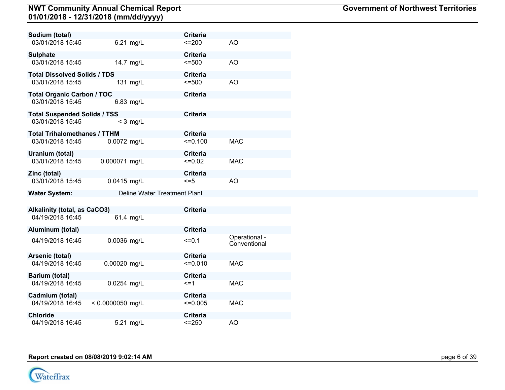| Sodium (total)                      |                              | <b>Criteria</b> |                               |
|-------------------------------------|------------------------------|-----------------|-------------------------------|
| 03/01/2018 15:45                    | 6.21 mg/L                    | $=200$          | AO                            |
| <b>Sulphate</b>                     |                              | <b>Criteria</b> |                               |
| 03/01/2018 15:45                    | 14.7 mg/L                    | $= 500$         | AO                            |
| <b>Total Dissolved Solids / TDS</b> |                              | <b>Criteria</b> |                               |
| 03/01/2018 15:45                    | 131 mg/L                     | $= 500$         | AO                            |
| Total Organic Carbon / TOC          |                              | <b>Criteria</b> |                               |
| 03/01/2018 15:45                    | 6.83 mg/L                    |                 |                               |
| <b>Total Suspended Solids / TSS</b> |                              | <b>Criteria</b> |                               |
| 03/01/2018 15:45                    | $<$ 3 mg/L                   |                 |                               |
| <b>Total Trihalomethanes / TTHM</b> |                              | <b>Criteria</b> |                               |
| 03/01/2018 15:45                    | 0.0072 mg/L                  | $=0.100$        | <b>MAC</b>                    |
| Uranium (total)                     |                              | <b>Criteria</b> |                               |
| 03/01/2018 15:45                    | 0.000071 mg/L                | $\leq 0.02$     | <b>MAC</b>                    |
| Zinc (total)                        |                              | <b>Criteria</b> |                               |
| 03/01/2018 15:45                    | 0.0415 mg/L                  | $\leq$ =5       | AO                            |
| <b>Water System:</b>                | Deline Water Treatment Plant |                 |                               |
| Alkalinity (total, as CaCO3)        |                              | <b>Criteria</b> |                               |
| 04/19/2018 16:45                    | 61.4 mg/L                    |                 |                               |
| Aluminum (total)                    |                              | <b>Criteria</b> |                               |
| 04/19/2018 16:45                    | 0.0036 mg/L                  | $=0.1$          | Operational -<br>Conventional |
| Arsenic (total)                     |                              | Criteria        |                               |
| 04/19/2018 16:45                    | 0.00020 mg/L                 | $=0.010$        | <b>MAC</b>                    |
| Barium (total)                      |                              | <b>Criteria</b> |                               |
| 04/19/2018 16:45                    | 0.0254 mg/L                  | $\leq$ =1       | <b>MAC</b>                    |
| Cadmium (total)                     |                              | Criteria        |                               |
| 04/19/2018 16:45                    | $< 0.0000050$ mg/L           | $\leq 0.005$    | <b>MAC</b>                    |
| <b>Chloride</b>                     |                              | <b>Criteria</b> |                               |
| 04/19/2018 16:45                    | 5.21 mg/L                    | $< = 250$       | AO                            |

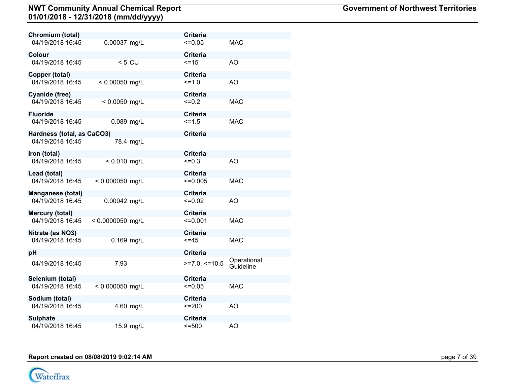| Chromium (total)           |                    |           | <b>Criteria</b> |                          |
|----------------------------|--------------------|-----------|-----------------|--------------------------|
| 04/19/2018 16:45           | 0.00037 mg/L       |           | $=0.05$         | <b>MAC</b>               |
| Colour                     |                    |           | <b>Criteria</b> |                          |
| 04/19/2018 16:45           |                    | $< 5$ CU  | $=15$           | AO                       |
| Copper (total)             |                    |           | <b>Criteria</b> |                          |
| 04/19/2018 16:45           | $< 0.00050$ mg/L   |           | $=1.0$          | AO                       |
| Cyanide (free)             |                    |           | <b>Criteria</b> |                          |
| 04/19/2018 16:45           | $< 0.0050$ mg/L    |           | $=0.2$          | <b>MAC</b>               |
| Fluoride                   |                    |           | <b>Criteria</b> |                          |
| 04/19/2018 16:45           | 0.089 mg/L         |           | $5 = 1.5$       | <b>MAC</b>               |
| Hardness (total, as CaCO3) |                    |           | <b>Criteria</b> |                          |
| 04/19/2018 16:45           |                    | 78.4 mg/L |                 |                          |
| Iron (total)               |                    |           | <b>Criteria</b> |                          |
| 04/19/2018 16:45           | $< 0.010$ mg/L     |           | $\leq 0.3$      | AO                       |
| Lead (total)               |                    |           | <b>Criteria</b> |                          |
| 04/19/2018 16:45           | $< 0.000050$ mg/L  |           | $\leq 0.005$    | <b>MAC</b>               |
| <b>Manganese (total)</b>   |                    |           | <b>Criteria</b> |                          |
| 04/19/2018 16:45           | 0.00042 mg/L       |           | $=0.02$         | AO                       |
| Mercury (total)            |                    |           | <b>Criteria</b> |                          |
| 04/19/2018 16:45           | $< 0.0000050$ mg/L |           | $\leq 0.001$    | <b>MAC</b>               |
| Nitrate (as NO3)           |                    |           | <b>Criteria</b> |                          |
| 04/19/2018 16:45           | 0.169 mg/L         |           | $=45$           | <b>MAC</b>               |
| pН                         |                    |           | <b>Criteria</b> |                          |
| 04/19/2018 16:45           | 7.93               |           | $>=7.0, ==10.5$ | Operational<br>Guideline |
| Selenium (total)           |                    |           | <b>Criteria</b> |                          |
| 04/19/2018 16:45           | $< 0.000050$ mg/L  |           | $=0.05$         | <b>MAC</b>               |
| Sodium (total)             |                    |           | <b>Criteria</b> |                          |
| 04/19/2018 16:45           |                    | 4.60 mg/L | $=200$          | <b>AO</b>                |
| <b>Sulphate</b>            |                    |           | <b>Criteria</b> |                          |
| 04/19/2018 16:45           |                    | 15.9 mg/L | $= 500$         | AO                       |

**Report created on 08/08/2019 9:02:14 AM** page 7 of 39

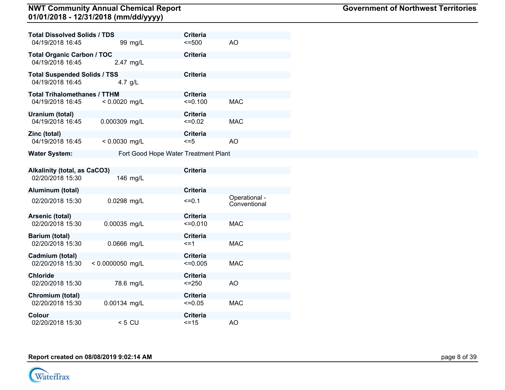| <b>Total Dissolved Solids / TDS</b> |                    | <b>Criteria</b>                      |                               |
|-------------------------------------|--------------------|--------------------------------------|-------------------------------|
| 04/19/2018 16:45                    | 99 mg/L            | $= 500$                              | <b>AO</b>                     |
| <b>Total Organic Carbon / TOC</b>   |                    | <b>Criteria</b>                      |                               |
| 04/19/2018 16:45                    | 2.47 mg/L          |                                      |                               |
| <b>Total Suspended Solids / TSS</b> |                    | <b>Criteria</b>                      |                               |
| 04/19/2018 16:45                    | 4.7 $q/L$          |                                      |                               |
| <b>Total Trihalomethanes / TTHM</b> |                    | <b>Criteria</b>                      |                               |
| 04/19/2018 16:45                    | $< 0.0020$ mg/L    | $=0.100$                             | <b>MAC</b>                    |
| Uranium (total)                     |                    | <b>Criteria</b>                      |                               |
| 04/19/2018 16:45                    | 0.000309 mg/L      | $=0.02$                              | <b>MAC</b>                    |
| Zinc (total)                        |                    | <b>Criteria</b>                      |                               |
| 04/19/2018 16:45                    | $< 0.0030$ mg/L    | $= 5$                                | AO                            |
| <b>Water System:</b>                |                    | Fort Good Hope Water Treatment Plant |                               |
|                                     |                    |                                      |                               |
| <b>Alkalinity (total, as CaCO3)</b> |                    | <b>Criteria</b>                      |                               |
| 02/20/2018 15:30                    | 146 mg/L           |                                      |                               |
| Aluminum (total)                    |                    | <b>Criteria</b>                      |                               |
| 02/20/2018 15:30                    | 0.0298 mg/L        | $=0.1$                               | Operational -<br>Conventional |
| Arsenic (total)                     |                    | <b>Criteria</b>                      |                               |
| 02/20/2018 15:30                    | 0.00035 mg/L       | $=0.010$                             | <b>MAC</b>                    |
| Barium (total)                      |                    | <b>Criteria</b>                      |                               |
| 02/20/2018 15:30                    | 0.0666 mg/L        | $\leq$ =1                            | <b>MAC</b>                    |
| Cadmium (total)                     |                    | <b>Criteria</b>                      |                               |
| 02/20/2018 15:30                    | $< 0.0000050$ mg/L | $\leq 0.005$                         | <b>MAC</b>                    |
| <b>Chloride</b>                     |                    | <b>Criteria</b>                      |                               |
| 02/20/2018 15:30                    | 78.6 mg/L          | $= 250$                              | AO                            |
| Chromium (total)                    |                    | <b>Criteria</b>                      |                               |
| 02/20/2018 15:30                    | 0.00134 mg/L       | $=0.05$                              | <b>MAC</b>                    |
| Colour                              |                    | <b>Criteria</b>                      |                               |
| 02/20/2018 15:30                    | $< 5 \, \text{CU}$ | $=15$                                | AO.                           |

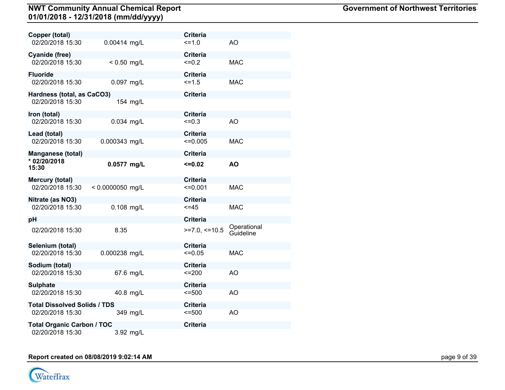| Copper (total)                      |                    |           | <b>Criteria</b> |                          |
|-------------------------------------|--------------------|-----------|-----------------|--------------------------|
| 02/20/2018 15:30                    | 0.00414 mg/L       |           | $=1.0$          | AO                       |
| Cyanide (free)                      |                    |           | <b>Criteria</b> |                          |
| 02/20/2018 15:30                    | $< 0.50$ mg/L      |           | $=0.2$          | <b>MAC</b>               |
| <b>Fluoride</b>                     |                    |           | <b>Criteria</b> |                          |
| 02/20/2018 15:30                    | 0.097 mg/L         |           | $5 = 1.5$       | <b>MAC</b>               |
| Hardness (total, as CaCO3)          |                    |           | <b>Criteria</b> |                          |
| 02/20/2018 15:30                    |                    | 154 mg/L  |                 |                          |
| Iron (total)                        |                    |           | <b>Criteria</b> |                          |
| 02/20/2018 15:30                    | 0.034 mg/L         |           | $=0.3$          | AO                       |
| Lead (total)                        |                    |           | <b>Criteria</b> |                          |
| 02/20/2018 15:30                    | 0.000343 mg/L      |           | $\leq 0.005$    | <b>MAC</b>               |
| <b>Manganese (total)</b>            |                    |           | <b>Criteria</b> |                          |
| * 02/20/2018<br>15:30               | 0.0577 mg/L        |           | $=0.02$         | <b>AO</b>                |
| Mercury (total)                     |                    |           | <b>Criteria</b> |                          |
| 02/20/2018 15:30                    | $< 0.0000050$ mg/L |           | $\leq 0.001$    | <b>MAC</b>               |
| Nitrate (as NO3)                    |                    |           | <b>Criteria</b> |                          |
| 02/20/2018 15:30                    | 0.108 mg/L         |           | $=45$           | <b>MAC</b>               |
| рH                                  |                    |           | <b>Criteria</b> |                          |
| 02/20/2018 15:30                    | 8.35               |           | $>=7.0,<=10.5$  | Operational<br>Guideline |
| Selenium (total)                    |                    |           | <b>Criteria</b> |                          |
| 02/20/2018 15:30                    | 0.000238 mg/L      |           | $\leq 0.05$     | <b>MAC</b>               |
| Sodium (total)                      |                    |           | <b>Criteria</b> |                          |
| 02/20/2018 15:30                    |                    | 67.6 mg/L | $=200$          | AO                       |
| Sulphate                            |                    |           | <b>Criteria</b> |                          |
| 02/20/2018 15:30                    |                    | 40.8 mg/L | $= 500$         | AO                       |
| <b>Total Dissolved Solids / TDS</b> |                    |           | <b>Criteria</b> |                          |
| 02/20/2018 15:30                    |                    | 349 mg/L  | $= 500$         | AO                       |
| <b>Total Organic Carbon / TOC</b>   |                    |           | <b>Criteria</b> |                          |
| 02/20/2018 15:30                    |                    | 3.92 mg/L |                 |                          |

# **Report created on 08/08/2019 9:02:14 AM** page 1 of 39

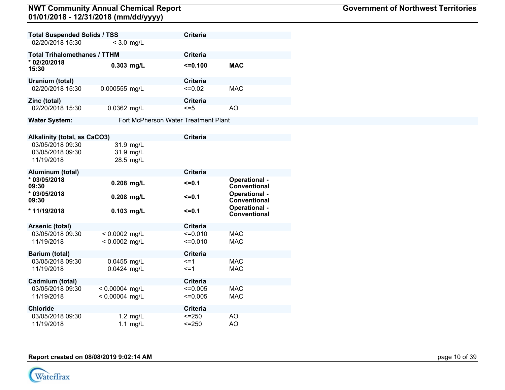| <b>Total Suspended Solids / TSS</b>                |                                     | <b>Criteria</b>                      |                               |
|----------------------------------------------------|-------------------------------------|--------------------------------------|-------------------------------|
| 02/20/2018 15:30                                   | $<$ 3.0 mg/L                        |                                      |                               |
| <b>Total Trihalomethanes / TTHM</b>                |                                     | <b>Criteria</b>                      |                               |
| * 02/20/2018<br>15:30                              | $0.303$ mg/L                        | $= 0.100$                            | <b>MAC</b>                    |
| Uranium (total)                                    |                                     | <b>Criteria</b>                      |                               |
| 02/20/2018 15:30                                   | 0.000555 mg/L                       | $=0.02$                              | <b>MAC</b>                    |
| Zinc (total)                                       |                                     | <b>Criteria</b>                      |                               |
| 02/20/2018 15:30                                   | 0.0362 mg/L                         | $\leq$ =5                            | AO                            |
| <b>Water System:</b>                               |                                     | Fort McPherson Water Treatment Plant |                               |
|                                                    |                                     |                                      |                               |
| <b>Alkalinity (total, as CaCO3)</b>                |                                     | <b>Criteria</b>                      |                               |
| 03/05/2018 09:30<br>03/05/2018 09:30<br>11/19/2018 | 31.9 mg/L<br>31.9 mg/L<br>28.5 mg/L |                                      |                               |
| Aluminum (total)                                   |                                     | <b>Criteria</b>                      |                               |
| * 03/05/2018<br>09:30                              | $0.208$ mg/L                        | $5 = 0.1$                            | Operational -<br>Conventional |
| * 03/05/2018<br>09:30                              | 0.208 mg/L                          | $=0.1$                               | Operational -<br>Conventional |
| *11/19/2018                                        | $0.103$ mg/L                        | $5 = 0.1$                            | Operational -<br>Conventional |
| Arsenic (total)                                    |                                     | <b>Criteria</b>                      |                               |
| 03/05/2018 09:30                                   | $< 0.0002$ mg/L                     | $\leq 0.010$                         | <b>MAC</b>                    |
| 11/19/2018                                         | $< 0.0002$ mg/L                     | $=0.010$                             | <b>MAC</b>                    |
| Barium (total)                                     |                                     | <b>Criteria</b>                      |                               |
| 03/05/2018 09:30                                   | 0.0455 mg/L                         | $=1$                                 | <b>MAC</b>                    |
| 11/19/2018                                         | 0.0424 mg/L                         | $\leq$ =1                            | <b>MAC</b>                    |
| Cadmium (total)                                    |                                     | <b>Criteria</b>                      |                               |
| 03/05/2018 09:30                                   | $< 0.00004$ mg/L                    | $=0.005$                             | <b>MAC</b>                    |
| 11/19/2018                                         | $< 0.00004$ mg/L                    | $=0.005$                             |                               |

| <b>Government of Northwest Territories</b> |  |
|--------------------------------------------|--|
|--------------------------------------------|--|

**Chloride Criteria**<br>03/05/2018 09:30 **1.2 mg/L**  $\leq$  -250

03/05/2018 09:30 1.2 mg/L <=250 AO



11/19/2018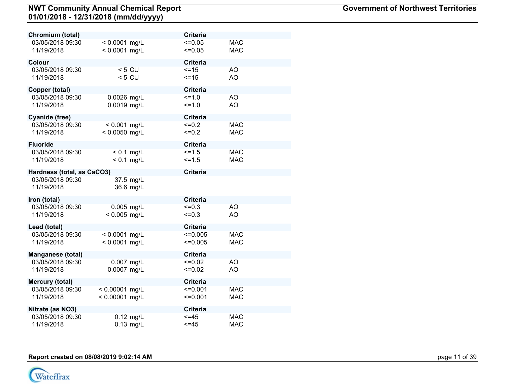| Chromium (total)           |                  |  | <b>Criteria</b> |            |  |
|----------------------------|------------------|--|-----------------|------------|--|
| 03/05/2018 09:30           | $< 0.0001$ mg/L  |  | $=0.05$         | <b>MAC</b> |  |
| 11/19/2018                 | $< 0.0001$ mg/L  |  | $=0.05$         | <b>MAC</b> |  |
| Colour                     |                  |  | <b>Criteria</b> |            |  |
| 03/05/2018 09:30           | $< 5$ CU         |  | $=15$           | AO         |  |
| 11/19/2018                 | $< 5$ CU         |  | $=15$           | AO         |  |
|                            |                  |  |                 |            |  |
| Copper (total)             |                  |  | <b>Criteria</b> |            |  |
| 03/05/2018 09:30           | 0.0026 mg/L      |  | $=1.0$          | AO         |  |
| 11/19/2018                 | 0.0019 mg/L      |  | $=1.0$          | AO         |  |
| <b>Cyanide (free)</b>      |                  |  | <b>Criteria</b> |            |  |
| 03/05/2018 09:30           | $< 0.001$ mg/L   |  | $=0.2$          | <b>MAC</b> |  |
| 11/19/2018                 | $< 0.0050$ mg/L  |  | $=0.2$          | <b>MAC</b> |  |
| <b>Fluoride</b>            |                  |  | <b>Criteria</b> |            |  |
| 03/05/2018 09:30           | $< 0.1$ mg/L     |  | $5 = 1.5$       | <b>MAC</b> |  |
| 11/19/2018                 | $< 0.1$ mg/L     |  | $=1.5$          | <b>MAC</b> |  |
| Hardness (total, as CaCO3) |                  |  | <b>Criteria</b> |            |  |
| 03/05/2018 09:30           | 37.5 mg/L        |  |                 |            |  |
| 11/19/2018                 | 36.6 mg/L        |  |                 |            |  |
| Iron (total)               |                  |  | <b>Criteria</b> |            |  |
| 03/05/2018 09:30           | 0.005 mg/L       |  | $=0.3$          | AO         |  |
| 11/19/2018                 | $< 0.005$ mg/L   |  | $=0.3$          | AO         |  |
| Lead (total)               |                  |  | <b>Criteria</b> |            |  |
| 03/05/2018 09:30           | $< 0.0001$ mg/L  |  | $\leq 0.005$    | <b>MAC</b> |  |
| 11/19/2018                 | $< 0.0001$ mg/L  |  | $=0.005$        | <b>MAC</b> |  |
| <b>Manganese (total)</b>   |                  |  | <b>Criteria</b> |            |  |
| 03/05/2018 09:30           | 0.007 mg/L       |  | $=0.02$         | AO         |  |
| 11/19/2018                 | 0.0007 mg/L      |  | $=0.02$         | AO         |  |
| <b>Mercury (total)</b>     |                  |  | <b>Criteria</b> |            |  |
| 03/05/2018 09:30           | $< 0.00001$ mg/L |  | $\leq 0.001$    | <b>MAC</b> |  |
| 11/19/2018                 | $< 0.00001$ mg/L |  | $=0.001$        | <b>MAC</b> |  |
| Nitrate (as NO3)           |                  |  | <b>Criteria</b> |            |  |
| 03/05/2018 09:30           | $0.12$ mg/L      |  | $=45$           | <b>MAC</b> |  |
| 11/19/2018                 | $0.13$ mg/L      |  | <=45            | <b>MAC</b> |  |

#### **Report created on 08/08/2019 9:02:14 AM** page 11 of 39

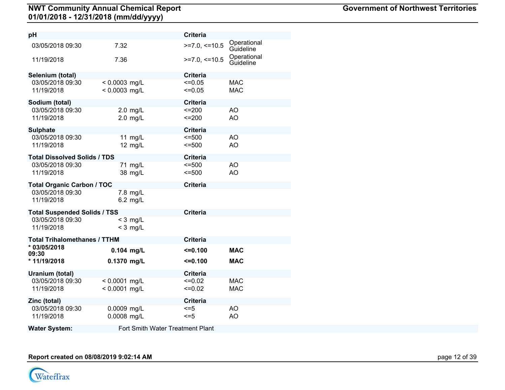| рH                                  |                 |                                  | <b>Criteria</b>   |                          |
|-------------------------------------|-----------------|----------------------------------|-------------------|--------------------------|
| 03/05/2018 09:30                    | 7.32            |                                  | $>=7.0,<=10.5$    | Operational<br>Guideline |
| 11/19/2018                          | 7.36            |                                  | $>=7.0, \le 10.5$ | Operational<br>Guideline |
| Selenium (total)                    |                 |                                  | <b>Criteria</b>   |                          |
| 03/05/2018 09:30                    | $< 0.0003$ mg/L |                                  | $\leq 0.05$       | <b>MAC</b>               |
| 11/19/2018                          | $< 0.0003$ mg/L |                                  | $\leq 0.05$       | <b>MAC</b>               |
| Sodium (total)                      |                 |                                  | <b>Criteria</b>   |                          |
| 03/05/2018 09:30                    |                 | $2.0$ mg/L                       | $=200$            | AO                       |
| 11/19/2018                          |                 | $2.0$ mg/L                       | $=200$            | <b>AO</b>                |
| <b>Sulphate</b>                     |                 |                                  | <b>Criteria</b>   |                          |
| 03/05/2018 09:30                    |                 | 11 $mg/L$                        | $= 500$           | AO                       |
| 11/19/2018                          |                 | 12 mg/L                          | $= 500$           | AO                       |
| <b>Total Dissolved Solids / TDS</b> |                 |                                  | <b>Criteria</b>   |                          |
| 03/05/2018 09:30                    |                 | 71 mg/L                          | $\leq 500$        | AO                       |
| 11/19/2018                          |                 | 38 mg/L                          | 500               | AO                       |
| <b>Total Organic Carbon / TOC</b>   |                 |                                  | <b>Criteria</b>   |                          |
| 03/05/2018 09:30                    |                 | 7.8 mg/L                         |                   |                          |
| 11/19/2018                          |                 | 6.2 mg/L                         |                   |                          |
| <b>Total Suspended Solids / TSS</b> |                 |                                  | <b>Criteria</b>   |                          |
| 03/05/2018 09:30                    |                 | $<$ 3 mg/L                       |                   |                          |
| 11/19/2018                          |                 | $<$ 3 mg/L                       |                   |                          |
| <b>Total Trihalomethanes / TTHM</b> |                 |                                  | <b>Criteria</b>   |                          |
| * 03/05/2018<br>09:30               | $0.104$ mg/L    |                                  | $\leq 0.100$      | <b>MAC</b>               |
| * 11/19/2018                        | 0.1370 mg/L     |                                  | $= 0.100$         | <b>MAC</b>               |
| Uranium (total)                     |                 |                                  | <b>Criteria</b>   |                          |
| 03/05/2018 09:30                    | $< 0.0001$ mg/L |                                  | $=0.02$           | <b>MAC</b>               |
| 11/19/2018                          | $< 0.0001$ mg/L |                                  | $\leq 0.02$       | <b>MAC</b>               |
| Zinc (total)                        |                 |                                  | <b>Criteria</b>   |                          |
| 03/05/2018 09:30                    | 0.0009 mg/L     |                                  | $\leq$ =5         | AO                       |
| 11/19/2018                          | 0.0008 mg/L     |                                  | $\leq$ =5         | AO                       |
| <b>Water System:</b>                |                 | Fort Smith Water Treatment Plant |                   |                          |

**Report created on 08/08/2019 9:02:14 AM** page 12 of 39

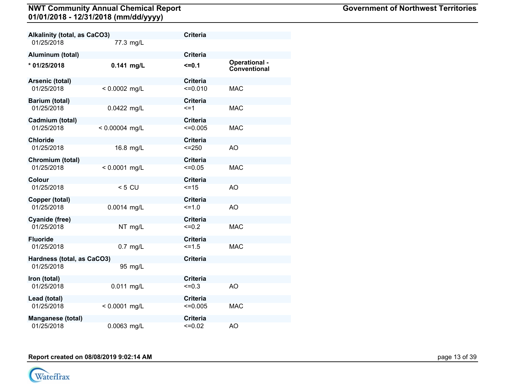| Alkalinity (total, as CaCO3) |                  | <b>Criteria</b> |                               |
|------------------------------|------------------|-----------------|-------------------------------|
| 01/25/2018                   | 77.3 mg/L        |                 |                               |
| Aluminum (total)             |                  | <b>Criteria</b> |                               |
| * 01/25/2018                 | $0.141$ mg/L     | $=0.1$          | Operational -<br>Conventional |
| Arsenic (total)              |                  | <b>Criteria</b> |                               |
| 01/25/2018                   | $< 0.0002$ mg/L  | $=0.010$        | <b>MAC</b>                    |
| Barium (total)               |                  | <b>Criteria</b> |                               |
| 01/25/2018                   | 0.0422 mg/L      | $\leq$ =1       | <b>MAC</b>                    |
| Cadmium (total)              |                  | <b>Criteria</b> |                               |
| 01/25/2018                   | $< 0.00004$ mg/L | $\leq 0.005$    | <b>MAC</b>                    |
| Chloride                     |                  | <b>Criteria</b> |                               |
| 01/25/2018                   | 16.8 mg/L        | $= 250$         | AO                            |
| Chromium (total)             |                  | <b>Criteria</b> |                               |
| 01/25/2018                   | $< 0.0001$ mg/L  | $=0.05$         | <b>MAC</b>                    |
| Colour                       |                  | <b>Criteria</b> |                               |
| 01/25/2018                   | $< 5$ CU         | $=15$           | AO                            |
| Copper (total)               |                  | <b>Criteria</b> |                               |
| 01/25/2018                   | 0.0014 mg/L      | $=1.0$          | <b>AO</b>                     |
| Cyanide (free)               |                  | <b>Criteria</b> |                               |
| 01/25/2018                   | NT mg/L          | $=0.2$          | <b>MAC</b>                    |
| <b>Fluoride</b>              |                  | <b>Criteria</b> |                               |
| 01/25/2018                   | $0.7$ mg/L       | $=1.5$          | <b>MAC</b>                    |
| Hardness (total, as CaCO3)   |                  | <b>Criteria</b> |                               |
| 01/25/2018                   | 95 mg/L          |                 |                               |
| Iron (total)                 |                  | <b>Criteria</b> |                               |
| 01/25/2018                   | 0.011 mg/L       | $=0.3$          | AO                            |
| Lead (total)                 |                  | <b>Criteria</b> |                               |
| 01/25/2018                   | $< 0.0001$ mg/L  | $\leq 0.005$    | <b>MAC</b>                    |
| Manganese (total)            |                  | <b>Criteria</b> |                               |
| 01/25/2018                   | 0.0063 mg/L      | $=0.02$         | AO                            |

**Report created on 08/08/2019 9:02:14 AM** page 13 of 39

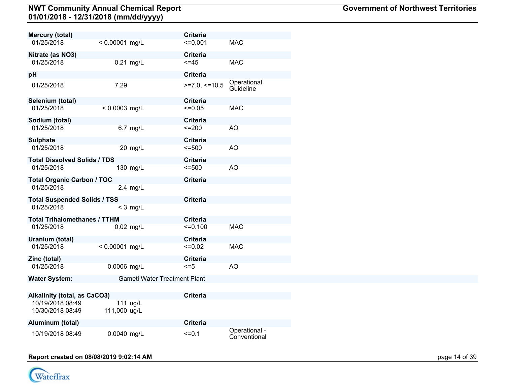| <b>Mercury (total)</b><br>01/25/2018 | $< 0.00001$ mg/L             | <b>Criteria</b><br>$=0.001$ | <b>MAC</b>               |
|--------------------------------------|------------------------------|-----------------------------|--------------------------|
| Nitrate (as NO3)                     |                              | <b>Criteria</b>             |                          |
| 01/25/2018                           | 0.21 mg/L                    | $\leq$ =45                  | <b>MAC</b>               |
| pH                                   |                              | <b>Criteria</b>             |                          |
| 01/25/2018                           | 7.29                         | $>=7.0,<=10.5$              | Operational<br>Guideline |
| Selenium (total)                     |                              | <b>Criteria</b>             |                          |
| 01/25/2018                           | $< 0.0003$ mg/L              | $\leq 0.05$                 | <b>MAC</b>               |
| Sodium (total)                       |                              | <b>Criteria</b>             |                          |
| 01/25/2018                           | 6.7 mg/L                     | $=200$                      | AO                       |
| <b>Sulphate</b>                      |                              | <b>Criteria</b>             |                          |
| 01/25/2018                           | 20 mg/L                      | $= 500$                     | AO                       |
| <b>Total Dissolved Solids / TDS</b>  |                              | <b>Criteria</b>             |                          |
| 01/25/2018                           | 130 mg/L                     | $= 500$                     | AO                       |
| <b>Total Organic Carbon / TOC</b>    |                              | <b>Criteria</b>             |                          |
| 01/25/2018                           | $2.4$ mg/L                   |                             |                          |
| <b>Total Suspended Solids / TSS</b>  |                              | <b>Criteria</b>             |                          |
| 01/25/2018                           | $<$ 3 mg/L                   |                             |                          |
| <b>Total Trihalomethanes / TTHM</b>  |                              | <b>Criteria</b>             |                          |
| 01/25/2018                           | $0.02$ mg/L                  | $=0.100$                    | <b>MAC</b>               |
| Uranium (total)                      |                              | <b>Criteria</b>             |                          |
| 01/25/2018                           | $< 0.00001$ mg/L             | $=0.02$                     | <b>MAC</b>               |
| Zinc (total)                         |                              | <b>Criteria</b>             |                          |
| 01/25/2018                           | 0.0006 mg/L                  | $\leq$ =5                   | AO                       |
| <b>Water System:</b>                 | Gameti Water Treatment Plant |                             |                          |
| <b>Alkalinity (total, as CaCO3)</b>  |                              | <b>Criteria</b>             |                          |
| 10/19/2018 08:49<br>10/30/2018 08:49 | 111 ug/L<br>111,000 ug/L     |                             |                          |
| Aluminum (total)                     |                              | <b>Criteria</b>             |                          |

10/19/2018 08:49 0.0040 mg/L <=0.1 Operational - Conventional



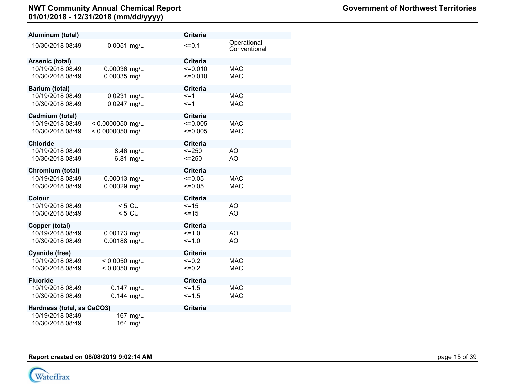| Aluminum (total)                     |                                        |                        | <b>Criteria</b>              |                               |
|--------------------------------------|----------------------------------------|------------------------|------------------------------|-------------------------------|
| 10/30/2018 08:49                     | 0.0051 mg/L                            |                        | $=0.1$                       | Operational -<br>Conventional |
| Arsenic (total)                      |                                        |                        | <b>Criteria</b>              |                               |
| 10/19/2018 08:49<br>10/30/2018 08:49 | 0.00036 mg/L<br>0.00035 mg/L           |                        | $=0.010$<br>$=0.010$         | <b>MAC</b><br><b>MAC</b>      |
| Barium (total)                       |                                        |                        | <b>Criteria</b>              |                               |
| 10/19/2018 08:49<br>10/30/2018 08:49 | 0.0231 mg/L<br>0.0247 mg/L             |                        | $\leq$ =1<br>$\leq$ =1       | <b>MAC</b><br><b>MAC</b>      |
| Cadmium (total)                      |                                        |                        | <b>Criteria</b>              |                               |
| 10/19/2018 08:49<br>10/30/2018 08:49 | $< 0.0000050$ mg/L<br>< 0.0000050 mg/L |                        | $\leq 0.005$<br>$\leq 0.005$ | <b>MAC</b><br><b>MAC</b>      |
| <b>Chloride</b>                      |                                        |                        | <b>Criteria</b>              |                               |
| 10/19/2018 08:49<br>10/30/2018 08:49 |                                        | 8.46 mg/L<br>6.81 mg/L | $<=250$<br>$<=250$           | AO<br>AO                      |
| Chromium (total)                     |                                        |                        | <b>Criteria</b>              |                               |
| 10/19/2018 08:49<br>10/30/2018 08:49 | 0.00013 mg/L<br>0.00029 mg/L           |                        | $=0.05$<br>$=0.05$           | <b>MAC</b><br><b>MAC</b>      |
| Colour                               |                                        |                        | <b>Criteria</b>              |                               |
| 10/19/2018 08:49<br>10/30/2018 08:49 | $< 5$ CU<br>$< 5$ CU                   |                        | $=15$<br>$=15$               | AO<br>AO                      |
| Copper (total)                       |                                        |                        | <b>Criteria</b>              |                               |
| 10/19/2018 08:49<br>10/30/2018 08:49 | 0.00173 mg/L<br>0.00188 mg/L           |                        | $=1.0$<br>$=1.0$             | AO<br>AO                      |
| Cyanide (free)                       |                                        |                        | <b>Criteria</b>              |                               |
| 10/19/2018 08:49<br>10/30/2018 08:49 | $< 0.0050$ mg/L<br>$< 0.0050$ mg/L     |                        | $=0.2$<br>$=0.2$             | <b>MAC</b><br><b>MAC</b>      |
| <b>Fluoride</b>                      |                                        |                        | <b>Criteria</b>              |                               |
| 10/19/2018 08:49<br>10/30/2018 08:49 | 0.147 mg/L<br>$0.144$ mg/L             |                        | $5 = 1.5$<br>$\le$ = 1.5     | <b>MAC</b><br><b>MAC</b>      |
| Hardness (total, as CaCO3)           |                                        |                        | <b>Criteria</b>              |                               |
| 10/19/2018 08:49<br>10/30/2018 08:49 |                                        | 167 mg/L<br>164 mg/L   |                              |                               |

**Report created on 08/08/2019 9:02:14 AM** page 15 of 39

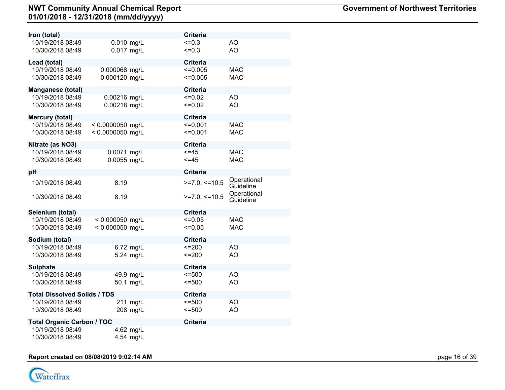| Iron (total)                        |                    | <b>Criteria</b> |                          |
|-------------------------------------|--------------------|-----------------|--------------------------|
| 10/19/2018 08:49                    | 0.010 mg/L         | $=0.3$          | AO                       |
| 10/30/2018 08:49                    | 0.017 mg/L         | $=0.3$          | AO                       |
| Lead (total)                        |                    | <b>Criteria</b> |                          |
| 10/19/2018 08:49                    | 0.000068 mg/L      | $\leq 0.005$    | <b>MAC</b>               |
| 10/30/2018 08:49                    | 0.000120 mg/L      | $\leq 0.005$    | <b>MAC</b>               |
| <b>Manganese (total)</b>            |                    | <b>Criteria</b> |                          |
| 10/19/2018 08:49                    | 0.00216 mg/L       | $=0.02$         | AO                       |
| 10/30/2018 08:49                    | 0.00218 mg/L       | $=0.02$         | <b>AO</b>                |
| <b>Mercury (total)</b>              |                    | <b>Criteria</b> |                          |
| 10/19/2018 08:49                    | $< 0.0000050$ mg/L | $=0.001$        | <b>MAC</b>               |
| 10/30/2018 08:49                    | < 0.0000050 mg/L   | $=0.001$        | <b>MAC</b>               |
| Nitrate (as NO3)                    |                    | <b>Criteria</b> |                          |
| 10/19/2018 08:49                    | 0.0071 mg/L        | $=45$           | <b>MAC</b>               |
| 10/30/2018 08:49                    | 0.0055 mg/L        | $=45$           | <b>MAC</b>               |
| pH                                  |                    | <b>Criteria</b> |                          |
| 10/19/2018 08:49                    | 8.19               | $>=7.0,<=10.5$  | Operational<br>Guideline |
| 10/30/2018 08:49                    | 8.19               | $>=7.0, ==10.5$ | Operational<br>Guideline |
| Selenium (total)                    |                    | <b>Criteria</b> |                          |
| 10/19/2018 08:49                    | $< 0.000050$ mg/L  | $=0.05$         | <b>MAC</b>               |
| 10/30/2018 08:49                    | $< 0.000050$ mg/L  | $=0.05$         | <b>MAC</b>               |
| Sodium (total)                      |                    | <b>Criteria</b> |                          |
| 10/19/2018 08:49                    | 6.72 mg/L          | $=200$          | AO                       |
| 10/30/2018 08:49                    | 5.24 mg/L          | $=200$          | AO                       |
| <b>Sulphate</b>                     |                    | <b>Criteria</b> |                          |
| 10/19/2018 08:49                    | 49.9 mg/L          | $= 500$         | AO                       |
| 10/30/2018 08:49                    | 50.1 mg/L          | $\leq 500$      | AO                       |
| <b>Total Dissolved Solids / TDS</b> |                    | <b>Criteria</b> |                          |
| 10/19/2018 08:49                    | 211 mg/L           | $= 500$         | AO                       |
| 10/30/2018 08:49                    | 208 mg/L           | $= 500$         | AO                       |
| <b>Total Organic Carbon / TOC</b>   |                    | <b>Criteria</b> |                          |
| 10/19/2018 08:49                    | 4.62 mg/L          |                 |                          |
| 10/30/2018 08:49                    | 4.54 mg/L          |                 |                          |

# **Report created on 08/08/2019 9:02:14 AM** page 16 of 39

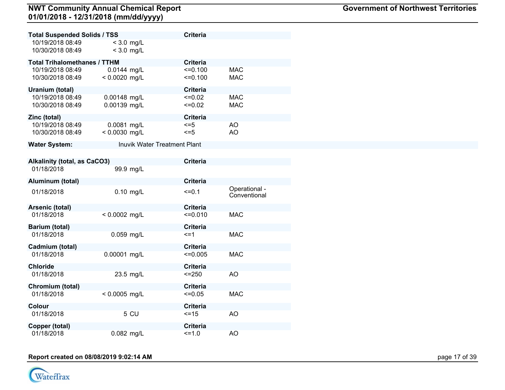| <b>Total Suspended Solids / TSS</b>  |                                     | <b>Criteria</b>        |                               |
|--------------------------------------|-------------------------------------|------------------------|-------------------------------|
| 10/19/2018 08:49<br>10/30/2018 08:49 | $<$ 3.0 mg/L<br>$<$ 3.0 mg/L        |                        |                               |
| <b>Total Trihalomethanes / TTHM</b>  |                                     | <b>Criteria</b>        |                               |
| 10/19/2018 08:49<br>10/30/2018 08:49 | 0.0144 mg/L<br>$< 0.0020$ mg/L      | $=0.100$<br>$=0.100$   | <b>MAC</b><br><b>MAC</b>      |
| Uranium (total)                      |                                     | <b>Criteria</b>        |                               |
| 10/19/2018 08:49<br>10/30/2018 08:49 | 0.00148 mg/L<br>0.00139 mg/L        | $=0.02$<br>$=0.02$     | <b>MAC</b><br><b>MAC</b>      |
| Zinc (total)                         |                                     | <b>Criteria</b>        |                               |
| 10/19/2018 08:49<br>10/30/2018 08:49 | 0.0081 mg/L<br>$< 0.0030$ mg/L      | $\leq$ =5<br>$\leq$ =5 | AO<br>AO.                     |
| <b>Water System:</b>                 | <b>Inuvik Water Treatment Plant</b> |                        |                               |
|                                      |                                     |                        |                               |
| <b>Alkalinity (total, as CaCO3)</b>  |                                     | <b>Criteria</b>        |                               |
| 01/18/2018                           | 99.9 mg/L                           |                        |                               |
| Aluminum (total)                     |                                     | <b>Criteria</b>        |                               |
| 01/18/2018                           | $0.10$ mg/L                         | $=0.1$                 | Operational -<br>Conventional |
| Arsenic (total)                      |                                     | <b>Criteria</b>        |                               |
| 01/18/2018                           | $< 0.0002$ mg/L                     | $=0.010$               | <b>MAC</b>                    |
| <b>Barium (total)</b>                |                                     | Criteria               |                               |
| 01/18/2018                           | 0.059 mg/L                          | $\leq$ =1              | <b>MAC</b>                    |
| Cadmium (total)                      |                                     | <b>Criteria</b>        |                               |
| 01/18/2018                           | 0.00001 mg/L                        | $\leq 0.005$           | <b>MAC</b>                    |
| <b>Chloride</b>                      |                                     | <b>Criteria</b>        |                               |
| 01/18/2018                           | 23.5 mg/L                           | $< = 250$              | AO                            |
| Chromium (total)                     |                                     | <b>Criteria</b>        |                               |
| 01/18/2018                           | $< 0.0005$ mg/L                     | $=0.05$                | <b>MAC</b>                    |
| Colour                               |                                     | <b>Criteria</b>        |                               |
| 01/18/2018                           | 5 CU                                | $=15$                  | <b>AO</b>                     |
| Copper (total)                       |                                     | <b>Criteria</b>        |                               |
| 01/18/2018                           | 0.082 mg/L                          | $=1.0$                 | AO                            |

#### **Report created on 08/08/2019 9:02:14 AM** page 17 of 39

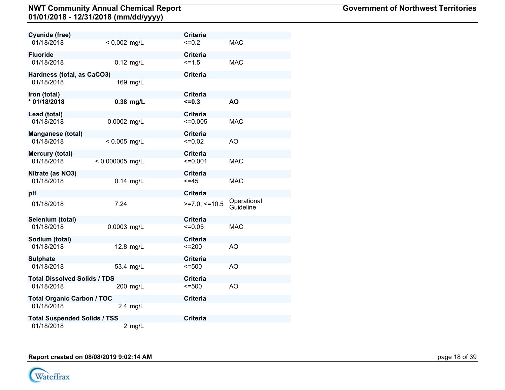| Cyanide (free)                      |                   | <b>Criteria</b> |                          |
|-------------------------------------|-------------------|-----------------|--------------------------|
| 01/18/2018                          | $< 0.002$ mg/L    | $=0.2$          | <b>MAC</b>               |
| <b>Fluoride</b>                     |                   | <b>Criteria</b> |                          |
| 01/18/2018                          | $0.12$ mg/L       | $5 = 1.5$       | <b>MAC</b>               |
| Hardness (total, as CaCO3)          |                   | <b>Criteria</b> |                          |
| 01/18/2018                          | 169 mg/L          |                 |                          |
| Iron (total)                        |                   | <b>Criteria</b> |                          |
| * 01/18/2018                        | $0.38$ mg/L       | $\leq 0.3$      | <b>AO</b>                |
| Lead (total)                        |                   | <b>Criteria</b> |                          |
| 01/18/2018                          | 0.0002 mg/L       | $\leq 0.005$    | <b>MAC</b>               |
| Manganese (total)                   |                   | <b>Criteria</b> |                          |
| 01/18/2018                          | $< 0.005$ mg/L    | $=0.02$         | AO                       |
| Mercury (total)                     |                   | <b>Criteria</b> |                          |
| 01/18/2018                          | $< 0.000005$ mg/L | $=0.001$        | <b>MAC</b>               |
| Nitrate (as NO3)                    |                   | <b>Criteria</b> |                          |
| 01/18/2018                          | $0.14$ mg/L       | $< = 45$        | <b>MAC</b>               |
| рH                                  |                   | <b>Criteria</b> |                          |
| 01/18/2018                          | 7.24              | $>=7.0,<=10.5$  | Operational<br>Guideline |
| Selenium (total)                    |                   | <b>Criteria</b> |                          |
| 01/18/2018                          | 0.0003 mg/L       | $\leq 0.05$     | <b>MAC</b>               |
| Sodium (total)                      |                   | <b>Criteria</b> |                          |
| 01/18/2018                          | 12.8 mg/L         | $=200$          | AO                       |
| <b>Sulphate</b>                     |                   | <b>Criteria</b> |                          |
| 01/18/2018                          | 53.4 mg/L         | $\leq 500$      | A <sub>O</sub>           |
| <b>Total Dissolved Solids / TDS</b> |                   | <b>Criteria</b> |                          |
| 01/18/2018                          | 200 mg/L          | $= 500$         | AO                       |
| <b>Total Organic Carbon / TOC</b>   |                   | <b>Criteria</b> |                          |
| 01/18/2018                          | $2.4$ mg/L        |                 |                          |
| <b>Total Suspended Solids / TSS</b> |                   | <b>Criteria</b> |                          |
| 01/18/2018                          | $2$ mg/L          |                 |                          |

**Report created on 08/08/2019 9:02:14 AM** page 18 of 39

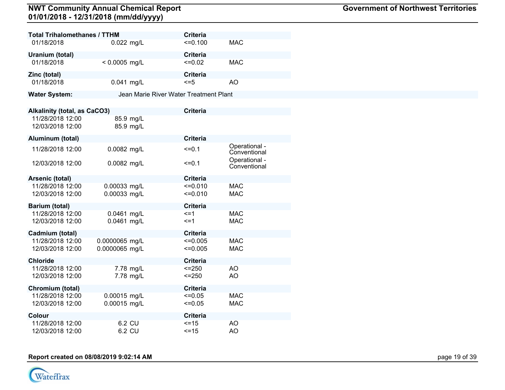| <b>Total Trihalomethanes / TTHM</b>  |                        | <b>Criteria</b>                        |                               |
|--------------------------------------|------------------------|----------------------------------------|-------------------------------|
| 01/18/2018                           | 0.022 mg/L             | $=0.100$                               | <b>MAC</b>                    |
| Uranium (total)                      |                        | <b>Criteria</b>                        |                               |
| 01/18/2018                           | $< 0.0005$ mg/L        | $=0.02$                                | <b>MAC</b>                    |
| Zinc (total)                         |                        | <b>Criteria</b>                        |                               |
| 01/18/2018                           | 0.041 mg/L             | $\leq$ =5                              | AO                            |
| <b>Water System:</b>                 |                        | Jean Marie River Water Treatment Plant |                               |
|                                      |                        |                                        |                               |
| <b>Alkalinity (total, as CaCO3)</b>  |                        | <b>Criteria</b>                        |                               |
| 11/28/2018 12:00<br>12/03/2018 12:00 | 85.9 mg/L<br>85.9 mg/L |                                        |                               |
| Aluminum (total)                     |                        | <b>Criteria</b>                        |                               |
| 11/28/2018 12:00                     | 0.0082 mg/L            | $=0.1$                                 | Operational -<br>Conventional |
| 12/03/2018 12:00                     | 0.0082 mg/L            | $=0.1$                                 | Operational -<br>Conventional |
| Arsenic (total)                      |                        | <b>Criteria</b>                        |                               |
| 11/28/2018 12:00                     | 0.00033 mg/L           | $=0.010$                               | <b>MAC</b>                    |
| 12/03/2018 12:00                     | 0.00033 mg/L           | $=0.010$                               | <b>MAC</b>                    |
| <b>Barium (total)</b>                |                        | <b>Criteria</b>                        |                               |
| 11/28/2018 12:00                     | 0.0461 mg/L            | $\leq$ =1                              | <b>MAC</b>                    |
| 12/03/2018 12:00                     | 0.0461 mg/L            | $\leq$ =1                              | <b>MAC</b>                    |
| Cadmium (total)                      |                        | <b>Criteria</b>                        |                               |
| 11/28/2018 12:00                     | 0.0000065 mg/L         | $\leq 0.005$                           | <b>MAC</b>                    |
| 12/03/2018 12:00                     | 0.0000065 mg/L         | $<=0.005$                              | <b>MAC</b>                    |
| <b>Chloride</b>                      |                        | <b>Criteria</b>                        |                               |
| 11/28/2018 12:00                     | 7.78 mg/L              | $= 250$                                | <b>AO</b>                     |
| 12/03/2018 12:00                     | 7.78 mg/L              | $\le$ = 250                            | AO                            |
| Chromium (total)                     |                        | <b>Criteria</b>                        |                               |
| 11/28/2018 12:00                     | 0.00015 mg/L           | $=0.05$                                | <b>MAC</b>                    |
| 12/03/2018 12:00                     | 0.00015 mg/L           | $\leq 0.05$                            | <b>MAC</b>                    |
| Colour                               |                        | <b>Criteria</b>                        |                               |
| 11/28/2018 12:00                     | 6.2 CU                 | $=15$                                  | AO                            |
| 12/03/2018 12:00                     | 6.2 CU                 | $\le$ = 15                             | AO                            |

**Report created on 08/08/2019 9:02:14 AM** page 19 of 39

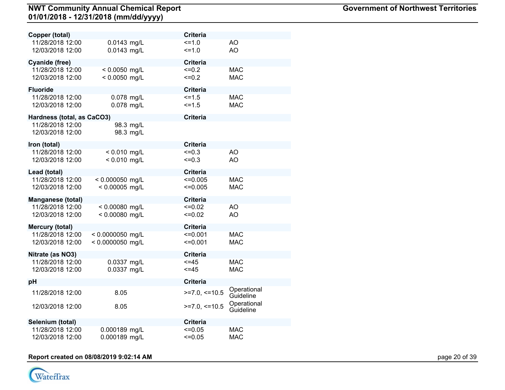| Copper (total)                               |                    | <b>Criteria</b>                            |  |
|----------------------------------------------|--------------------|--------------------------------------------|--|
| 11/28/2018 12:00                             | 0.0143 mg/L        | $=1.0$<br>AO                               |  |
| 12/03/2018 12:00                             | 0.0143 mg/L        | AO<br>$=1.0$                               |  |
| <b>Cyanide (free)</b>                        |                    | <b>Criteria</b>                            |  |
| 11/28/2018 12:00                             | $< 0.0050$ mg/L    | $=0.2$<br><b>MAC</b>                       |  |
| 12/03/2018 12:00                             | < 0.0050 mg/L      | $=0.2$<br><b>MAC</b>                       |  |
| <b>Fluoride</b>                              |                    | <b>Criteria</b>                            |  |
| 11/28/2018 12:00                             | 0.078 mg/L         | $5 = 1.5$<br><b>MAC</b>                    |  |
| 12/03/2018 12:00                             | 0.078 mg/L         | $5 = 1.5$<br><b>MAC</b>                    |  |
|                                              |                    |                                            |  |
| Hardness (total, as CaCO3)                   |                    | <b>Criteria</b>                            |  |
| 11/28/2018 12:00                             | 98.3 mg/L          |                                            |  |
| 12/03/2018 12:00                             | 98.3 mg/L          |                                            |  |
| Iron (total)                                 |                    | Criteria                                   |  |
| 11/28/2018 12:00                             | $< 0.010$ mg/L     | $=0.3$<br>AO                               |  |
| 12/03/2018 12:00                             | $< 0.010$ mg/L     | AO<br>$=0.3$                               |  |
| Lead (total)                                 |                    | <b>Criteria</b>                            |  |
| 11/28/2018 12:00                             | $< 0.000050$ mg/L  | <b>MAC</b><br>$\leq 0.005$                 |  |
| 12/03/2018 12:00                             | $< 0.00005$ mg/L   | $\leq 0.005$<br><b>MAC</b>                 |  |
|                                              |                    | <b>Criteria</b>                            |  |
| <b>Manganese (total)</b><br>11/28/2018 12:00 | $< 0.00080$ mg/L   | AO<br>$=0.02$                              |  |
| 12/03/2018 12:00                             | < 0.00080 mg/L     | AO<br>$=0.02$                              |  |
|                                              |                    |                                            |  |
| <b>Mercury (total)</b>                       |                    | <b>Criteria</b>                            |  |
| 11/28/2018 12:00                             | $< 0.0000050$ mg/L | $=0.001$<br><b>MAC</b>                     |  |
| 12/03/2018 12:00                             | < 0.0000050 mg/L   | $=0.001$<br><b>MAC</b>                     |  |
| Nitrate (as NO3)                             |                    | <b>Criteria</b>                            |  |
| 11/28/2018 12:00                             | 0.0337 mg/L        | $=45$<br><b>MAC</b>                        |  |
| 12/03/2018 12:00                             | 0.0337 mg/L        | $\leq$ = 45<br><b>MAC</b>                  |  |
| рH                                           |                    | <b>Criteria</b>                            |  |
| 11/28/2018 12:00                             | 8.05               | Operational<br>$>=7.0,<=10.5$              |  |
|                                              |                    | Guideline                                  |  |
| 12/03/2018 12:00                             | 8.05               | Operational<br>$>=7.0,<=10.5$<br>Guideline |  |
|                                              |                    |                                            |  |
| Selenium (total)                             |                    | <b>Criteria</b>                            |  |
| 11/28/2018 12:00                             | 0.000189 mg/L      | <b>MAC</b><br>$=0.05$                      |  |
| 12/03/2018 12:00                             | 0.000189 mg/L      | $=0.05$<br><b>MAC</b>                      |  |

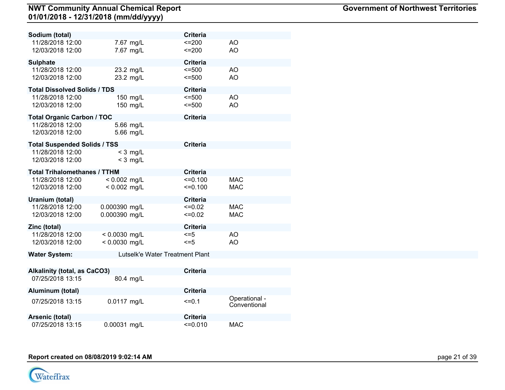| Sodium (total)                      |                                 | <b>Criteria</b> |               |
|-------------------------------------|---------------------------------|-----------------|---------------|
| 11/28/2018 12:00                    | 7.67 mg/L                       | $=200$          | AO            |
| 12/03/2018 12:00                    | 7.67 mg/L                       | $=200$          | AO            |
|                                     |                                 |                 |               |
| <b>Sulphate</b>                     |                                 | <b>Criteria</b> |               |
| 11/28/2018 12:00                    | 23.2 mg/L                       | $= 500$         | AO            |
| 12/03/2018 12:00                    | 23.2 mg/L                       | $= 500$         | AO            |
| <b>Total Dissolved Solids / TDS</b> |                                 | <b>Criteria</b> |               |
| 11/28/2018 12:00                    | 150 mg/L                        | $\leq$ =500     | AO.           |
| 12/03/2018 12:00                    | 150 mg/L                        | $= 500$         | AO            |
|                                     |                                 |                 |               |
| <b>Total Organic Carbon / TOC</b>   |                                 | <b>Criteria</b> |               |
| 11/28/2018 12:00                    | 5.66 mg/L                       |                 |               |
| 12/03/2018 12:00                    | 5.66 mg/L                       |                 |               |
| <b>Total Suspended Solids / TSS</b> |                                 | <b>Criteria</b> |               |
| 11/28/2018 12:00                    | $<$ 3 mg/L                      |                 |               |
| 12/03/2018 12:00                    | $<$ 3 mg/L                      |                 |               |
|                                     |                                 |                 |               |
| <b>Total Trihalomethanes / TTHM</b> |                                 | <b>Criteria</b> |               |
| 11/28/2018 12:00                    | $< 0.002$ mg/L                  | $=0.100$        | <b>MAC</b>    |
| 12/03/2018 12:00                    | $< 0.002$ mg/L                  | $=0.100$        | <b>MAC</b>    |
| Uranium (total)                     |                                 | <b>Criteria</b> |               |
| 11/28/2018 12:00                    | 0.000390 mg/L                   | $\leq 0.02$     | <b>MAC</b>    |
| 12/03/2018 12:00                    | 0.000390 mg/L                   | $=0.02$         | <b>MAC</b>    |
|                                     |                                 |                 |               |
| Zinc (total)                        |                                 | <b>Criteria</b> |               |
| 11/28/2018 12:00                    | $< 0.0030$ mg/L                 | $\leq$ =5       | AO            |
| 12/03/2018 12:00                    | < 0.0030 mg/L                   | $\leq$ =5       | AO            |
| <b>Water System:</b>                | Lutselk'e Water Treatment Plant |                 |               |
|                                     |                                 |                 |               |
| <b>Alkalinity (total, as CaCO3)</b> |                                 | <b>Criteria</b> |               |
| 07/25/2018 13:15                    | 80.4 mg/L                       |                 |               |
|                                     |                                 |                 |               |
| Aluminum (total)                    |                                 | <b>Criteria</b> |               |
| 07/25/2018 13:15                    | 0.0117 mg/L                     | $=0.1$          | Operational - |
|                                     |                                 |                 | Conventional  |



**Arsenic (total) Criteria**

07/25/2018 13:15 0.00031 mg/L <=0.010 MAC

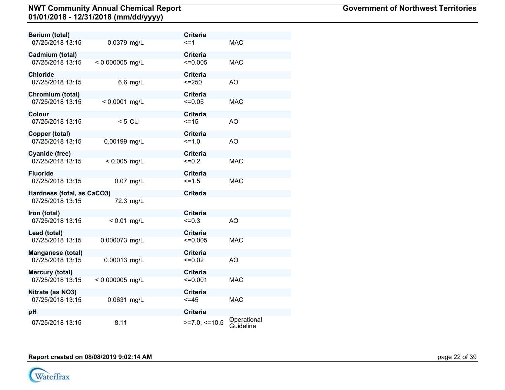| Barium (total)             |                   | <b>Criteria</b> |                          |
|----------------------------|-------------------|-----------------|--------------------------|
| 07/25/2018 13:15           | 0.0379 mg/L       | <=1             | <b>MAC</b>               |
| Cadmium (total)            |                   | <b>Criteria</b> |                          |
| 07/25/2018 13:15           | $< 0.000005$ mg/L | $\leq 0.005$    | <b>MAC</b>               |
| Chloride                   |                   | <b>Criteria</b> |                          |
| 07/25/2018 13:15           | 6.6 mg/L          | $<=250$         | AO                       |
| Chromium (total)           |                   | <b>Criteria</b> |                          |
| 07/25/2018 13:15           | $< 0.0001$ mg/L   | $\leq 0.05$     | <b>MAC</b>               |
| Colour                     |                   | <b>Criteria</b> |                          |
| 07/25/2018 13:15           | $< 5$ CU          | $=15$           | AO                       |
| Copper (total)             |                   | <b>Criteria</b> |                          |
| 07/25/2018 13:15           | 0.00199 mg/L      | $=1.0$          | <b>AO</b>                |
| Cyanide (free)             |                   | <b>Criteria</b> |                          |
| 07/25/2018 13:15           | $< 0.005$ mg/L    | $=0.2$          | <b>MAC</b>               |
| <b>Fluoride</b>            |                   | <b>Criteria</b> |                          |
| 07/25/2018 13:15           | 0.07 mg/L         | $5 = 1.5$       | <b>MAC</b>               |
| Hardness (total, as CaCO3) |                   | <b>Criteria</b> |                          |
| 07/25/2018 13:15           | 72.3 mg/L         |                 |                          |
| Iron (total)               |                   | <b>Criteria</b> |                          |
| 07/25/2018 13:15           | $< 0.01$ mg/L     | $=0.3$          | AO                       |
| Lead (total)               |                   | <b>Criteria</b> |                          |
| 07/25/2018 13:15           | 0.000073 mg/L     | $\leq 0.005$    | <b>MAC</b>               |
| Manganese (total)          |                   | <b>Criteria</b> |                          |
| 07/25/2018 13:15           | 0.00013 mg/L      | $=0.02$         | AO                       |
| Mercury (total)            |                   | <b>Criteria</b> |                          |
| 07/25/2018 13:15           | $< 0.000005$ mg/L | $=0.001$        | <b>MAC</b>               |
| Nitrate (as NO3)           |                   | <b>Criteria</b> |                          |
| 07/25/2018 13:15           | 0.0631 mg/L       | $<=45$          | <b>MAC</b>               |
| рH                         |                   | <b>Criteria</b> |                          |
| 07/25/2018 13:15           | 8.11              | $>=7.0,<=10.5$  | Operational<br>Guideline |

**Report created on 08/08/2019 9:02:14 AM** page 22 of 39

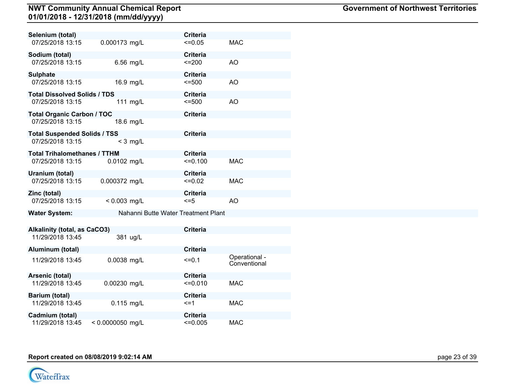| Selenium (total)                    |                    |            | <b>Criteria</b>                     |                               |
|-------------------------------------|--------------------|------------|-------------------------------------|-------------------------------|
| 07/25/2018 13:15                    | 0.000173 mg/L      |            | $\leq 0.05$                         | <b>MAC</b>                    |
| Sodium (total)                      |                    |            | <b>Criteria</b>                     |                               |
| 07/25/2018 13:15                    |                    | 6.56 mg/L  | $=200$                              | AO                            |
| <b>Sulphate</b>                     |                    |            | <b>Criteria</b>                     |                               |
| 07/25/2018 13:15                    |                    | 16.9 mg/L  | $= 500$                             | AO                            |
| <b>Total Dissolved Solids / TDS</b> |                    |            | <b>Criteria</b>                     |                               |
| 07/25/2018 13:15                    |                    | 111 mg/L   | $= 500$                             | AO                            |
| <b>Total Organic Carbon / TOC</b>   |                    |            | <b>Criteria</b>                     |                               |
| 07/25/2018 13:15                    |                    | 18.6 mg/L  |                                     |                               |
| <b>Total Suspended Solids / TSS</b> |                    |            | <b>Criteria</b>                     |                               |
| 07/25/2018 13:15                    |                    | $<$ 3 mg/L |                                     |                               |
| <b>Total Trihalomethanes / TTHM</b> |                    |            | <b>Criteria</b>                     |                               |
| 07/25/2018 13:15                    | 0.0102 mg/L        |            | $=0.100$                            | <b>MAC</b>                    |
| Uranium (total)                     |                    |            | <b>Criteria</b>                     |                               |
| 07/25/2018 13:15                    | 0.000372 mg/L      |            | $=0.02$                             | <b>MAC</b>                    |
| Zinc (total)                        |                    |            | <b>Criteria</b>                     |                               |
| 07/25/2018 13:15                    | $< 0.003$ mg/L     |            | $\leq$ =5                           | AO                            |
| <b>Water System:</b>                |                    |            | Nahanni Butte Water Treatment Plant |                               |
|                                     |                    |            |                                     |                               |
| Alkalinity (total, as CaCO3)        |                    |            | <b>Criteria</b>                     |                               |
| 11/29/2018 13:45                    |                    | 381 ug/L   |                                     |                               |
| Aluminum (total)                    |                    |            | <b>Criteria</b>                     |                               |
| 11/29/2018 13:45                    | 0.0038 mg/L        |            | $=0.1$                              | Operational -<br>Conventional |
| Arsenic (total)                     |                    |            | <b>Criteria</b>                     |                               |
| 11/29/2018 13:45                    | 0.00230 mg/L       |            | $=0.010$                            | <b>MAC</b>                    |
| Barium (total)                      |                    |            | <b>Criteria</b>                     |                               |
| 11/29/2018 13:45                    | $0.115$ mg/L       |            | $\leq$ =1                           | <b>MAC</b>                    |
| Cadmium (total)                     |                    |            | <b>Criteria</b>                     |                               |
| 11/29/2018 13:45                    | $< 0.0000050$ mg/L |            | $\leq 0.005$                        | <b>MAC</b>                    |

**Report created on 08/08/2019 9:02:14 AM** page 23 of 39

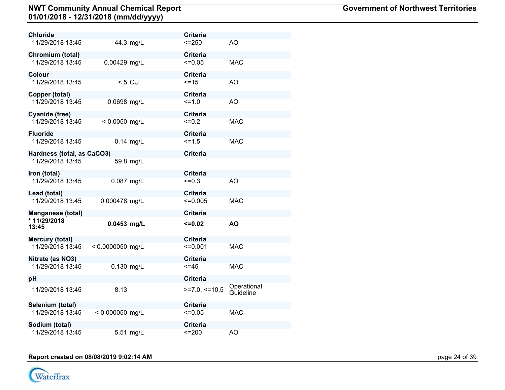| Chloride                           |                    |             | <b>Criteria</b>           |                          |
|------------------------------------|--------------------|-------------|---------------------------|--------------------------|
| 11/29/2018 13:45                   |                    | 44.3 mg/L   | $= 250$                   | AO                       |
| Chromium (total)                   |                    |             | <b>Criteria</b>           |                          |
| 11/29/2018 13:45                   | 0.00429 mg/L       |             | $\leq 0.05$               | <b>MAC</b>               |
| Colour                             |                    |             | Criteria                  |                          |
| 11/29/2018 13:45                   |                    | $< 5$ CU    | $=15$                     | AO                       |
| Copper (total)<br>11/29/2018 13:45 | 0.0698 mg/L        |             | <b>Criteria</b><br>$=1.0$ | AO                       |
|                                    |                    |             |                           |                          |
| Cyanide (free)                     |                    |             | <b>Criteria</b>           |                          |
| 11/29/2018 13:45                   | $< 0.0050$ mg/L    |             | $=0.2$                    | <b>MAC</b>               |
| <b>Fluoride</b>                    |                    |             | <b>Criteria</b>           |                          |
| 11/29/2018 13:45                   |                    | $0.14$ mg/L | $5 = 1.5$                 | <b>MAC</b>               |
| Hardness (total, as CaCO3)         |                    |             | <b>Criteria</b>           |                          |
| 11/29/2018 13:45                   |                    | 59.8 mg/L   |                           |                          |
| Iron (total)                       |                    |             | <b>Criteria</b>           |                          |
| 11/29/2018 13:45                   | 0.087 mg/L         |             | $=0.3$                    | AO                       |
| Lead (total)                       |                    |             | <b>Criteria</b>           |                          |
| 11/29/2018 13:45                   | 0.000478 mg/L      |             | $<=0.005$                 | <b>MAC</b>               |
| <b>Manganese (total)</b>           |                    |             | <b>Criteria</b>           |                          |
| * 11/29/2018<br>13:45              | $0.0453$ mg/L      |             | $=0.02$                   | <b>AO</b>                |
| Mercury (total)                    |                    |             | <b>Criteria</b>           |                          |
| 11/29/2018 13:45                   | $< 0.0000050$ mg/L |             | $=0.001$                  | <b>MAC</b>               |
| Nitrate (as NO3)                   |                    |             | <b>Criteria</b>           |                          |
| 11/29/2018 13:45                   | 0.130 mg/L         |             | $< = 45$                  | <b>MAC</b>               |
| рH                                 |                    |             | <b>Criteria</b>           |                          |
| 11/29/2018 13:45                   | 8.13               |             | $>=7.0,<=10.5$            | Operational<br>Guideline |
| Selenium (total)                   |                    |             | <b>Criteria</b>           |                          |
| 11/29/2018 13:45                   | $< 0.000050$ mg/L  |             | $=0.05$                   | <b>MAC</b>               |
| Sodium (total)                     |                    |             | <b>Criteria</b>           |                          |
| 11/29/2018 13:45                   |                    | 5.51 mg/L   | $=200$                    | AO                       |

**Report created on 08/08/2019 9:02:14 AM** page 24 of 39

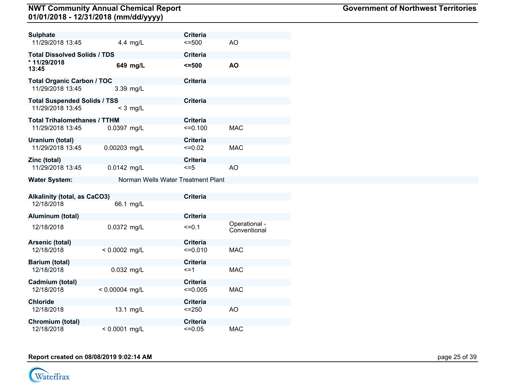| <b>Sulphate</b>                     |                  |                                    | <b>Criteria</b> |                               |
|-------------------------------------|------------------|------------------------------------|-----------------|-------------------------------|
| 11/29/2018 13:45                    |                  | 4.4 mg/L                           | $\le$ =500      | AO                            |
| <b>Total Dissolved Solids / TDS</b> |                  |                                    | <b>Criteria</b> |                               |
| * 11/29/2018<br>13:45               |                  | 649 mg/L                           | <=500           | <b>AO</b>                     |
| <b>Total Organic Carbon / TOC</b>   |                  |                                    | <b>Criteria</b> |                               |
| 11/29/2018 13:45                    |                  | 3.39 mg/L                          |                 |                               |
| <b>Total Suspended Solids / TSS</b> |                  |                                    | <b>Criteria</b> |                               |
| 11/29/2018 13:45                    |                  | $<$ 3 mg/L                         |                 |                               |
| <b>Total Trihalomethanes / TTHM</b> |                  |                                    | <b>Criteria</b> |                               |
| 11/29/2018 13:45                    | 0.0397 mg/L      |                                    | $=0.100$        | <b>MAC</b>                    |
| Uranium (total)                     |                  |                                    | <b>Criteria</b> |                               |
| 11/29/2018 13:45                    | 0.00203 mg/L     |                                    | $=0.02$         | <b>MAC</b>                    |
| Zinc (total)                        |                  |                                    | <b>Criteria</b> |                               |
| 11/29/2018 13:45                    | 0.0142 mg/L      |                                    | <=5             | AO                            |
| <b>Water System:</b>                |                  | Norman Wells Water Treatment Plant |                 |                               |
|                                     |                  |                                    |                 |                               |
| <b>Alkalinity (total, as CaCO3)</b> |                  |                                    | <b>Criteria</b> |                               |
| 12/18/2018                          |                  | 66.1 mg/L                          |                 |                               |
| Aluminum (total)                    |                  |                                    | <b>Criteria</b> |                               |
| 12/18/2018                          | 0.0372 mg/L      |                                    | $=0.1$          | Operational -<br>Conventional |
| Arsenic (total)                     |                  |                                    | <b>Criteria</b> |                               |
| 12/18/2018                          | $< 0.0002$ mg/L  |                                    | $=0.010$        | <b>MAC</b>                    |
| <b>Barium (total)</b>               |                  |                                    | <b>Criteria</b> |                               |
| 12/18/2018                          | 0.032 mg/L       |                                    | $\leq$ =1       | <b>MAC</b>                    |
| Cadmium (total)                     |                  |                                    | <b>Criteria</b> |                               |
| 12/18/2018                          | $< 0.00004$ mg/L |                                    | $\leq 0.005$    | <b>MAC</b>                    |
| <b>Chloride</b>                     |                  |                                    | Criteria        |                               |
| 12/18/2018                          |                  | 13.1 mg/L                          | $= 250$         | AO.                           |
| Chromium (total)                    |                  |                                    | <b>Criteria</b> |                               |
| 12/18/2018                          | $< 0.0001$ mg/L  |                                    | $=0.05$         | <b>MAC</b>                    |

# **Report created on 08/08/2019 9:02:14 AM** page 25 of 39

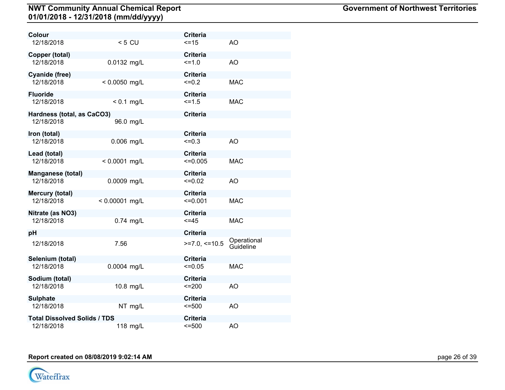| Colour                              |                  | <b>Criteria</b>   |                          |
|-------------------------------------|------------------|-------------------|--------------------------|
| 12/18/2018                          | $< 5$ CU         | $=15$             | AO                       |
| Copper (total)                      |                  | <b>Criteria</b>   |                          |
| 12/18/2018                          | 0.0132 mg/L      | $=1.0$            | AO                       |
| Cyanide (free)                      |                  | <b>Criteria</b>   |                          |
| 12/18/2018                          | $< 0.0050$ mg/L  | $=0.2$            | <b>MAC</b>               |
| <b>Fluoride</b>                     |                  | <b>Criteria</b>   |                          |
| 12/18/2018                          | $< 0.1$ mg/L     | $=1.5$            | <b>MAC</b>               |
| Hardness (total, as CaCO3)          |                  | <b>Criteria</b>   |                          |
| 12/18/2018                          | 96.0 mg/L        |                   |                          |
| Iron (total)                        |                  | <b>Criteria</b>   |                          |
| 12/18/2018                          | 0.006 mg/L       | $=0.3$            | AO                       |
| Lead (total)                        |                  | <b>Criteria</b>   |                          |
| 12/18/2018                          | $< 0.0001$ mg/L  | $=0.005$          | <b>MAC</b>               |
| Manganese (total)                   |                  | <b>Criteria</b>   |                          |
| 12/18/2018                          | 0.0009 mg/L      | $=0.02$           | AO                       |
| Mercury (total)                     |                  | <b>Criteria</b>   |                          |
| 12/18/2018                          | $< 0.00001$ mg/L | $=0.001$          | <b>MAC</b>               |
| Nitrate (as NO3)                    |                  | <b>Criteria</b>   |                          |
| 12/18/2018                          | $0.74$ mg/L      | $=45$             | <b>MAC</b>               |
| рH                                  |                  | <b>Criteria</b>   |                          |
| 12/18/2018                          | 7.56             | $>=7.0, \le 10.5$ | Operational<br>Guideline |
| Selenium (total)                    |                  | <b>Criteria</b>   |                          |
| 12/18/2018                          | 0.0004 mg/L      | $=0.05$           | <b>MAC</b>               |
| Sodium (total)                      |                  | <b>Criteria</b>   |                          |
| 12/18/2018                          | 10.8 mg/L        | $=200$            | AO                       |
| <b>Sulphate</b>                     |                  | <b>Criteria</b>   |                          |
| 12/18/2018                          | NT mg/L          | $= 500$           | AO                       |
| <b>Total Dissolved Solids / TDS</b> |                  | <b>Criteria</b>   |                          |
| 12/18/2018                          | 118 mg/L         | $= 500$           | AO                       |

**Report created on 08/08/2019 9:02:14 AM** page 26 of 39

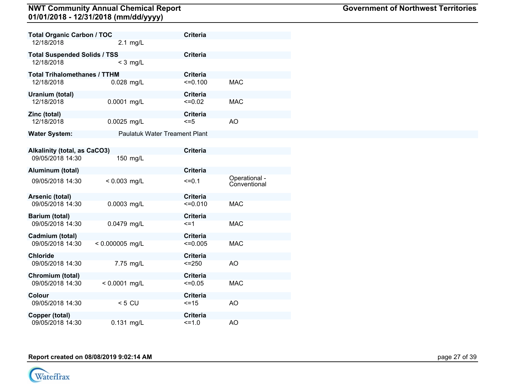| <b>Total Organic Carbon / TOC</b>   |                   | <b>Criteria</b>                      |                               |  |
|-------------------------------------|-------------------|--------------------------------------|-------------------------------|--|
| 12/18/2018                          | $2.1$ mg/L        |                                      |                               |  |
| <b>Total Suspended Solids / TSS</b> |                   | <b>Criteria</b>                      |                               |  |
| 12/18/2018                          | $<$ 3 mg/L        |                                      |                               |  |
| <b>Total Trihalomethanes / TTHM</b> |                   | <b>Criteria</b>                      |                               |  |
| 12/18/2018                          | 0.028 mg/L        | $=0.100$                             | <b>MAC</b>                    |  |
| Uranium (total)                     |                   | <b>Criteria</b>                      |                               |  |
| 12/18/2018                          | 0.0001 mg/L       | $=0.02$                              | <b>MAC</b>                    |  |
| Zinc (total)                        |                   | <b>Criteria</b>                      |                               |  |
| 12/18/2018                          | 0.0025 mg/L       | $\leq$ =5                            | AO                            |  |
| <b>Water System:</b>                |                   | <b>Paulatuk Water Treament Plant</b> |                               |  |
|                                     |                   |                                      |                               |  |
| <b>Alkalinity (total, as CaCO3)</b> |                   | <b>Criteria</b>                      |                               |  |
| 09/05/2018 14:30                    | 150 mg/L          |                                      |                               |  |
| Aluminum (total)                    |                   | <b>Criteria</b>                      |                               |  |
| 09/05/2018 14:30                    | $< 0.003$ mg/L    | $=0.1$                               | Operational -<br>Conventional |  |
| Arsenic (total)                     |                   | <b>Criteria</b>                      |                               |  |
| 09/05/2018 14:30                    | 0.0003 mg/L       | $=0.010$                             | <b>MAC</b>                    |  |
| Barium (total)                      |                   | <b>Criteria</b>                      |                               |  |
| 09/05/2018 14:30                    | 0.0479 mg/L       | $\leq$ =1                            | <b>MAC</b>                    |  |
| Cadmium (total)                     |                   | <b>Criteria</b>                      |                               |  |
| 09/05/2018 14:30                    | $< 0.000005$ mg/L | $<=0.005$                            | <b>MAC</b>                    |  |
| <b>Chloride</b>                     |                   | <b>Criteria</b>                      |                               |  |
| 09/05/2018 14:30                    | 7.75 mg/L         | $= 250$                              | AO                            |  |
| Chromium (total)                    |                   | <b>Criteria</b>                      |                               |  |
| 09/05/2018 14:30                    | $< 0.0001$ mg/L   | $=0.05$                              | <b>MAC</b>                    |  |
| Colour                              |                   | <b>Criteria</b>                      |                               |  |
| 09/05/2018 14:30                    | $< 5$ CU          | $=15$                                | AO                            |  |
| Copper (total)                      |                   | <b>Criteria</b>                      |                               |  |
| 09/05/2018 14:30                    | $0.131$ mg/L      | $=1.0$                               | AO                            |  |

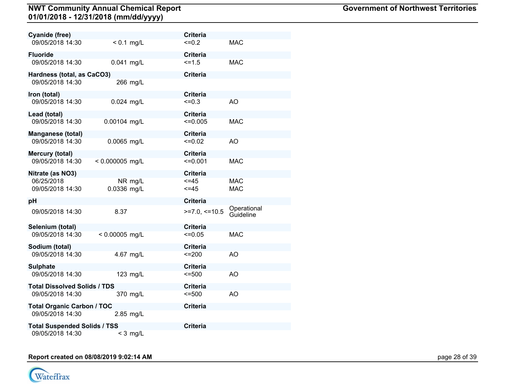| Cyanide (free)                      |                   |            | <b>Criteria</b> |                          |
|-------------------------------------|-------------------|------------|-----------------|--------------------------|
| 09/05/2018 14:30                    | $< 0.1$ mg/L      |            | $=0.2$          | <b>MAC</b>               |
| <b>Fluoride</b>                     |                   |            | <b>Criteria</b> |                          |
| 09/05/2018 14:30                    | 0.041 mg/L        |            | $5 = 1.5$       | <b>MAC</b>               |
| Hardness (total, as CaCO3)          |                   |            | <b>Criteria</b> |                          |
| 09/05/2018 14:30                    |                   | 266 mg/L   |                 |                          |
| Iron (total)                        |                   |            | <b>Criteria</b> |                          |
| 09/05/2018 14:30                    | $0.024$ mg/L      |            | $=0.3$          | <b>AO</b>                |
| Lead (total)                        |                   |            | <b>Criteria</b> |                          |
| 09/05/2018 14:30                    | 0.00104 mg/L      |            | $<=0.005$       | <b>MAC</b>               |
| <b>Manganese (total)</b>            |                   |            | <b>Criteria</b> |                          |
| 09/05/2018 14:30                    | 0.0065 mg/L       |            | $=0.02$         | AO                       |
| Mercury (total)                     |                   |            | <b>Criteria</b> |                          |
| 09/05/2018 14:30                    | $< 0.000005$ mg/L |            | $=0.001$        | <b>MAC</b>               |
| Nitrate (as NO3)                    |                   |            | <b>Criteria</b> |                          |
| 06/25/2018                          |                   | NR mg/L    | <=45            | <b>MAC</b>               |
| 09/05/2018 14:30                    | 0.0336 mg/L       |            | $\leq$ =45      | <b>MAC</b>               |
| pН                                  |                   |            | <b>Criteria</b> |                          |
| 09/05/2018 14:30                    | 8.37              |            | $>=7.0,<=10.5$  | Operational<br>Guideline |
| Selenium (total)                    |                   |            | <b>Criteria</b> |                          |
| 09/05/2018 14:30                    | $< 0.00005$ mg/L  |            | $\leq 0.05$     | <b>MAC</b>               |
| Sodium (total)                      |                   |            | <b>Criteria</b> |                          |
| 09/05/2018 14:30                    |                   | 4.67 mg/L  | $=200$          | AO                       |
| <b>Sulphate</b>                     |                   |            | Criteria        |                          |
| 09/05/2018 14:30                    |                   | 123 mg/L   | $= 500$         | AO                       |
| <b>Total Dissolved Solids / TDS</b> |                   |            | <b>Criteria</b> |                          |
| 09/05/2018 14:30                    |                   | 370 mg/L   | $= 500$         | AO                       |
| <b>Total Organic Carbon / TOC</b>   |                   |            | <b>Criteria</b> |                          |
| 09/05/2018 14:30                    |                   | 2.85 mg/L  |                 |                          |
| <b>Total Suspended Solids / TSS</b> |                   |            | <b>Criteria</b> |                          |
| 09/05/2018 14:30                    |                   | $<$ 3 mg/L |                 |                          |

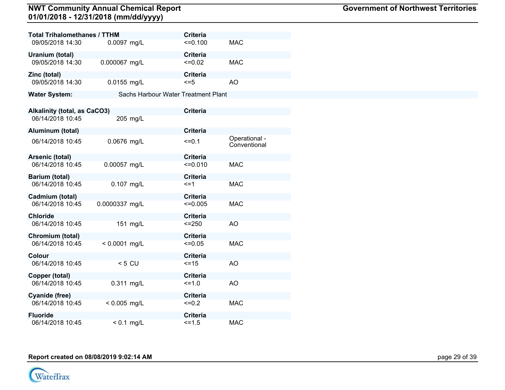| <b>Total Trihalomethanes / TTHM</b> |                 | <b>Criteria</b>                     |                               |
|-------------------------------------|-----------------|-------------------------------------|-------------------------------|
| 09/05/2018 14:30                    | 0.0097 mg/L     | $=0.100$                            | <b>MAC</b>                    |
| Uranium (total)                     |                 | <b>Criteria</b>                     |                               |
| 09/05/2018 14:30                    | 0.000067 mg/L   | $=0.02$                             | <b>MAC</b>                    |
| Zinc (total)                        |                 | <b>Criteria</b>                     |                               |
| 09/05/2018 14:30                    | 0.0155 mg/L     | $\leq$ =5                           | AO                            |
| <b>Water System:</b>                |                 | Sachs Harbour Water Treatment Plant |                               |
|                                     |                 |                                     |                               |
| <b>Alkalinity (total, as CaCO3)</b> |                 | <b>Criteria</b>                     |                               |
| 06/14/2018 10:45                    | 205 mg/L        |                                     |                               |
| Aluminum (total)                    |                 | <b>Criteria</b>                     |                               |
| 06/14/2018 10:45                    | 0.0676 mg/L     | $=0.1$                              | Operational -<br>Conventional |
| Arsenic (total)                     |                 | <b>Criteria</b>                     |                               |
| 06/14/2018 10:45                    | 0.00057 mg/L    | $=0.010$                            | <b>MAC</b>                    |
| Barium (total)                      |                 | <b>Criteria</b>                     |                               |
| 06/14/2018 10:45                    | 0.107 mg/L      | $\leq$ =1                           | <b>MAC</b>                    |
| Cadmium (total)                     |                 | <b>Criteria</b>                     |                               |
| 06/14/2018 10:45                    | 0.0000337 mg/L  | $=0.005$                            | <b>MAC</b>                    |
| <b>Chloride</b>                     |                 | <b>Criteria</b>                     |                               |
| 06/14/2018 10:45                    | 151 mg/L        | $= 250$                             | AO                            |
| Chromium (total)                    |                 | <b>Criteria</b>                     |                               |
| 06/14/2018 10:45                    | $< 0.0001$ mg/L | $=0.05$                             | <b>MAC</b>                    |
| Colour                              |                 | <b>Criteria</b>                     |                               |
| 06/14/2018 10:45                    | $< 5$ CU        | $=15$                               | <b>AO</b>                     |
| Copper (total)                      |                 | <b>Criteria</b>                     |                               |
| 06/14/2018 10:45                    | 0.311 mg/L      | $=1.0$                              | <b>AO</b>                     |
| Cyanide (free)                      |                 | <b>Criteria</b>                     |                               |
| 06/14/2018 10:45                    | $< 0.005$ mg/L  | $<=0.2$                             | <b>MAC</b>                    |
| <b>Fluoride</b>                     |                 | <b>Criteria</b>                     |                               |
| 06/14/2018 10:45                    | $< 0.1$ mg/L    | $=1.5$                              | <b>MAC</b>                    |

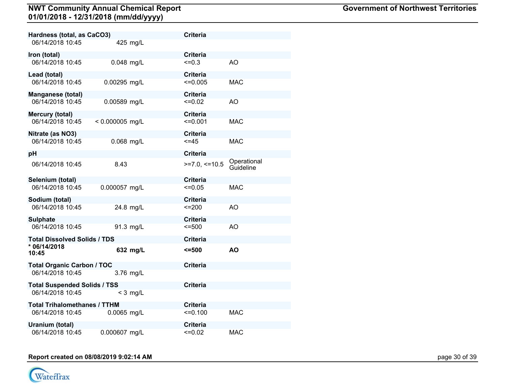| Hardness (total, as CaCO3)          |                   | <b>Criteria</b> |                          |
|-------------------------------------|-------------------|-----------------|--------------------------|
| 06/14/2018 10:45                    | 425 mg/L          |                 |                          |
| Iron (total)                        |                   | <b>Criteria</b> |                          |
| 06/14/2018 10:45                    | $0.048$ mg/L      | $=0.3$          | AO                       |
| Lead (total)                        |                   | Criteria        |                          |
| 06/14/2018 10:45                    | 0.00295 mg/L      | $\leq 0.005$    | MAC.                     |
| Manganese (total)                   |                   | <b>Criteria</b> |                          |
| 06/14/2018 10:45                    | 0.00589 mg/L      | $=0.02$         | AO                       |
| Mercury (total)                     |                   | <b>Criteria</b> |                          |
| 06/14/2018 10:45                    | $< 0.000005$ mg/L | $=0.001$        | <b>MAC</b>               |
| Nitrate (as NO3)                    |                   | <b>Criteria</b> |                          |
| 06/14/2018 10:45                    | 0.068 mg/L        | $< = 45$        | <b>MAC</b>               |
| pН                                  |                   | <b>Criteria</b> |                          |
| 06/14/2018 10:45                    | 8.43              | $>=7.0,<=10.5$  | Operational<br>Guideline |
| Selenium (total)                    |                   | <b>Criteria</b> |                          |
| 06/14/2018 10:45                    | 0.000057 mg/L     | $\leq 0.05$     | <b>MAC</b>               |
| Sodium (total)                      |                   | Criteria        |                          |
| 06/14/2018 10:45                    | 24.8 mg/L         | $=200$          | AO                       |
| <b>Sulphate</b>                     |                   | <b>Criteria</b> |                          |
| 06/14/2018 10:45                    | 91.3 mg/L         | $= 500$         | AO                       |
| <b>Total Dissolved Solids / TDS</b> |                   | <b>Criteria</b> |                          |
| * 06/14/2018<br>10:45               | 632 mg/L          | 5500            | <b>AO</b>                |
| <b>Total Organic Carbon / TOC</b>   |                   | <b>Criteria</b> |                          |
| 06/14/2018 10:45                    | 3.76 mg/L         |                 |                          |
| <b>Total Suspended Solids / TSS</b> |                   | <b>Criteria</b> |                          |
| 06/14/2018 10:45                    | $<$ 3 mg/L        |                 |                          |
| <b>Total Trihalomethanes / TTHM</b> |                   | <b>Criteria</b> |                          |
| 06/14/2018 10:45                    | 0.0065 mg/L       | $=0.100$        | <b>MAC</b>               |
| Uranium (total)                     |                   | <b>Criteria</b> |                          |
| 06/14/2018 10:45                    | 0.000607 mg/L     | $=0.02$         | <b>MAC</b>               |

# **Report created on 08/08/2019 9:02:14 AM** page 30 of 39

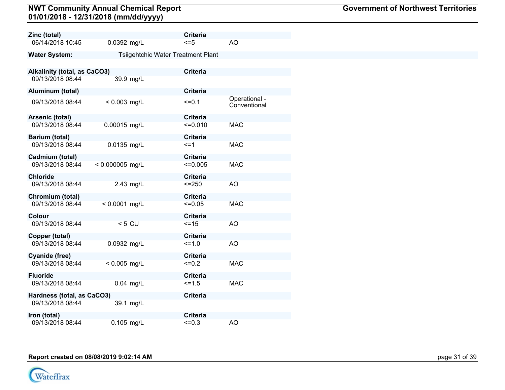| Zinc (total)                        |                   | <b>Criteria</b>                    |                               |
|-------------------------------------|-------------------|------------------------------------|-------------------------------|
| 06/14/2018 10:45                    | 0.0392 mg/L       | $\leq$ =5                          | <b>AO</b>                     |
| <b>Water System:</b>                |                   | Tsiigehtchic Water Treatment Plant |                               |
|                                     |                   |                                    |                               |
| <b>Alkalinity (total, as CaCO3)</b> |                   | <b>Criteria</b>                    |                               |
| 09/13/2018 08:44                    | 39.9 mg/L         |                                    |                               |
| Aluminum (total)                    |                   | <b>Criteria</b>                    |                               |
| 09/13/2018 08:44                    | $< 0.003$ mg/L    | $=0.1$                             | Operational -<br>Conventional |
| Arsenic (total)                     |                   | <b>Criteria</b>                    |                               |
| 09/13/2018 08:44                    | 0.00015 mg/L      | $=0.010$                           | <b>MAC</b>                    |
| Barium (total)                      |                   | <b>Criteria</b>                    |                               |
| 09/13/2018 08:44                    | 0.0135 mg/L       | $\leq$ =1                          | <b>MAC</b>                    |
| Cadmium (total)                     |                   | <b>Criteria</b>                    |                               |
| 09/13/2018 08:44                    | $< 0.000005$ mg/L | $\leq 0.005$                       | <b>MAC</b>                    |
|                                     |                   |                                    |                               |
| <b>Chloride</b><br>09/13/2018 08:44 | 2.43 mg/L         | <b>Criteria</b><br>$<=250$         | <b>AO</b>                     |
|                                     |                   |                                    |                               |
| Chromium (total)                    |                   | <b>Criteria</b>                    |                               |
| 09/13/2018 08:44                    | $< 0.0001$ mg/L   | $<=0.05$                           | <b>MAC</b>                    |
| Colour                              |                   | <b>Criteria</b>                    |                               |
| 09/13/2018 08:44                    | $< 5$ CU          | $=15$                              | <b>AO</b>                     |
| Copper (total)                      |                   | <b>Criteria</b>                    |                               |
| 09/13/2018 08:44                    | 0.0932 mg/L       | $=1.0$                             | <b>AO</b>                     |
| Cyanide (free)                      |                   | <b>Criteria</b>                    |                               |
| 09/13/2018 08:44                    | $< 0.005$ mg/L    | $=0.2$                             | <b>MAC</b>                    |
| <b>Fluoride</b>                     |                   | <b>Criteria</b>                    |                               |
| 09/13/2018 08:44                    | 0.04 mg/L         | $=1.5$                             | <b>MAC</b>                    |
|                                     |                   |                                    |                               |
| Hardness (total, as CaCO3)          |                   | <b>Criteria</b>                    |                               |
| 09/13/2018 08:44                    | 39.1 mg/L         |                                    |                               |
| Iron (total)                        |                   | <b>Criteria</b>                    |                               |
| 09/13/2018 08:44                    | $0.105$ mg/L      | $=0.3$                             | <b>AO</b>                     |

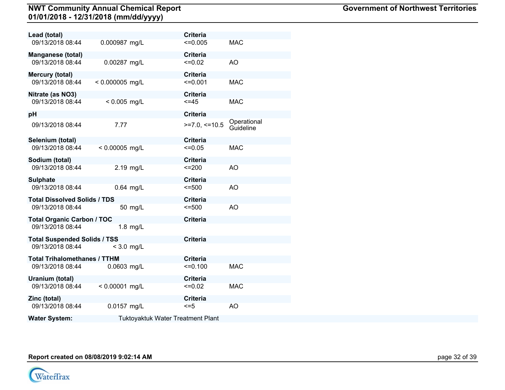| Lead (total)                        |                   |                                          | <b>Criteria</b> |                          |
|-------------------------------------|-------------------|------------------------------------------|-----------------|--------------------------|
| 09/13/2018 08:44                    | 0.000987 mg/L     |                                          | $\leq 0.005$    | <b>MAC</b>               |
| Manganese (total)                   |                   |                                          | <b>Criteria</b> |                          |
| 09/13/2018 08:44                    | 0.00287 mg/L      |                                          | $\leq 0.02$     | AO                       |
| Mercury (total)                     |                   |                                          | <b>Criteria</b> |                          |
| 09/13/2018 08:44                    | $< 0.000005$ mg/L |                                          | $\leq 0.001$    | <b>MAC</b>               |
| Nitrate (as NO3)                    |                   |                                          | <b>Criteria</b> |                          |
| 09/13/2018 08:44                    | $< 0.005$ mg/L    |                                          | $\leq$ =45      | MAC                      |
| рH                                  |                   |                                          | <b>Criteria</b> |                          |
| 09/13/2018 08:44                    | 7.77              |                                          | $>=7.0,<=10.5$  | Operational<br>Guideline |
| Selenium (total)                    |                   |                                          | <b>Criteria</b> |                          |
| 09/13/2018 08:44                    | $< 0.00005$ mg/L  |                                          | $=0.05$         | <b>MAC</b>               |
| Sodium (total)                      |                   |                                          | <b>Criteria</b> |                          |
| 09/13/2018 08:44                    | 2.19 mg/L         |                                          | $=200$          | AO                       |
| <b>Sulphate</b>                     |                   |                                          | <b>Criteria</b> |                          |
| 09/13/2018 08:44                    | 0.64 mg/L         |                                          | 5500            | AO                       |
| <b>Total Dissolved Solids / TDS</b> |                   |                                          | <b>Criteria</b> |                          |
| 09/13/2018 08:44                    |                   | 50 mg/L                                  | $= 500$         | AO                       |
| <b>Total Organic Carbon / TOC</b>   |                   |                                          | <b>Criteria</b> |                          |
| 09/13/2018 08:44                    | $1.8$ mg/L        |                                          |                 |                          |
| <b>Total Suspended Solids / TSS</b> |                   |                                          | <b>Criteria</b> |                          |
| 09/13/2018 08:44                    | $<$ 3.0 mg/L      |                                          |                 |                          |
| <b>Total Trihalomethanes / TTHM</b> |                   |                                          | <b>Criteria</b> |                          |
| 09/13/2018 08:44                    | 0.0603 mg/L       |                                          | $=0.100$        | <b>MAC</b>               |
| Uranium (total)                     |                   |                                          | <b>Criteria</b> |                          |
| 09/13/2018 08:44                    | $< 0.00001$ mg/L  |                                          | $=0.02$         | <b>MAC</b>               |
| Zinc (total)                        |                   |                                          | <b>Criteria</b> |                          |
| 09/13/2018 08:44                    | 0.0157 mg/L       |                                          | $\leq$ =5       | AO                       |
| <b>Water System:</b>                |                   | <b>Tuktoyaktuk Water Treatment Plant</b> |                 |                          |

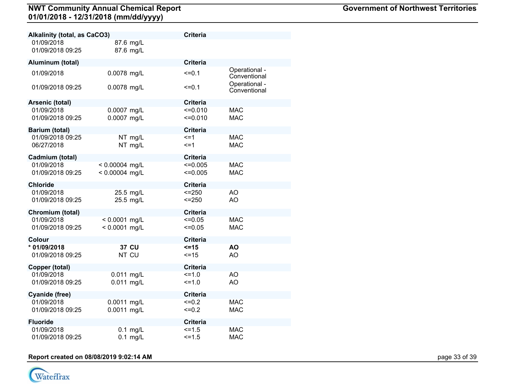| Alkalinity (total, as CaCO3)     |                                      | <b>Criteria</b>          |                               |
|----------------------------------|--------------------------------------|--------------------------|-------------------------------|
| 01/09/2018<br>01/09/2018 09:25   | 87.6 mg/L<br>87.6 mg/L               |                          |                               |
| Aluminum (total)                 |                                      | <b>Criteria</b>          |                               |
| 01/09/2018                       | 0.0078 mg/L                          | $= 0.1$                  | Operational -<br>Conventional |
| 01/09/2018 09:25                 | 0.0078 mg/L                          | $=0.1$                   | Operational -<br>Conventional |
| Arsenic (total)                  |                                      | <b>Criteria</b>          |                               |
| 01/09/2018<br>01/09/2018 09:25   | 0.0007 mg/L<br>0.0007 mg/L           | $=0.010$<br>$=0.010$     | <b>MAC</b><br><b>MAC</b>      |
| Barium (total)                   |                                      | Criteria                 |                               |
| 01/09/2018 09:25<br>06/27/2018   | NT mg/L<br>NT mg/L                   | $=1$<br><=1              | <b>MAC</b><br><b>MAC</b>      |
| Cadmium (total)                  |                                      | <b>Criteria</b>          |                               |
| 01/09/2018<br>01/09/2018 09:25   | $< 0.00004$ mg/L<br>$< 0.00004$ mg/L | $=0.005$<br>$\leq 0.005$ | <b>MAC</b><br><b>MAC</b>      |
| <b>Chloride</b>                  |                                      | <b>Criteria</b>          |                               |
| 01/09/2018<br>01/09/2018 09:25   | 25.5 mg/L<br>25.5 mg/L               | $= 250$<br>$= 250$       | AO<br>AO                      |
| Chromium (total)                 |                                      | <b>Criteria</b>          |                               |
| 01/09/2018<br>01/09/2018 09:25   | $< 0.0001$ mg/L<br>$< 0.0001$ mg/L   | $=0.05$<br>$=0.05$       | <b>MAC</b><br><b>MAC</b>      |
| Colour                           |                                      | <b>Criteria</b>          |                               |
| * 01/09/2018<br>01/09/2018 09:25 | <b>37 CU</b><br>NT CU                | $5 = 15$<br>$=15$        | <b>AO</b><br><b>AO</b>        |
| Copper (total)                   |                                      | <b>Criteria</b>          |                               |
| 01/09/2018<br>01/09/2018 09:25   | 0.011 mg/L<br>0.011 mg/L             | $=1.0$<br>$=1.0$         | AO<br>AO.                     |
| Cyanide (free)                   |                                      | <b>Criteria</b>          |                               |
| 01/09/2018<br>01/09/2018 09:25   | 0.0011 mg/L<br>0.0011 mg/L           | $=0.2$<br>$=0.2$         | <b>MAC</b><br><b>MAC</b>      |
| Fluoride                         |                                      | <b>Criteria</b>          |                               |
| 01/09/2018<br>01/09/2018 09:25   | $0.1$ mg/L<br>$0.1$ mg/L             | $=1.5$<br>$=1.5$         | <b>MAC</b><br><b>MAC</b>      |

# **Report created on 08/08/2019 9:02:14 AM** page 13 of 39

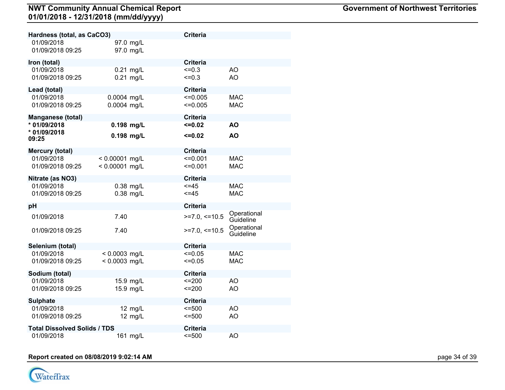| Hardness (total, as CaCO3)          |                            | <b>Criteria</b>              |                          |
|-------------------------------------|----------------------------|------------------------------|--------------------------|
| 01/09/2018<br>01/09/2018 09:25      | 97.0 mg/L<br>97.0 mg/L     |                              |                          |
| Iron (total)                        |                            | <b>Criteria</b>              |                          |
| 01/09/2018<br>01/09/2018 09:25      | $0.21$ mg/L<br>$0.21$ mg/L | $=0.3$<br>$\leq 0.3$         | AO<br>AO                 |
| Lead (total)                        |                            | <b>Criteria</b>              |                          |
| 01/09/2018<br>01/09/2018 09:25      | 0.0004 mg/L<br>0.0004 mg/L | $\leq 0.005$<br>$\leq 0.005$ | <b>MAC</b><br><b>MAC</b> |
| <b>Manganese (total)</b>            |                            | <b>Criteria</b>              |                          |
| * 01/09/2018                        | 0.198 mg/L                 | $\leq 0.02$                  | <b>AO</b>                |
| * 01/09/2018<br>09:25               | 0.198 mg/L                 | $\leq 0.02$                  | AO                       |
| <b>Mercury (total)</b>              |                            | <b>Criteria</b>              |                          |
| 01/09/2018                          | $< 0.00001$ mg/L           | $=0.001$                     | <b>MAC</b>               |
| 01/09/2018 09:25                    | $< 0.00001$ mg/L           | $=0.001$                     | <b>MAC</b>               |
| Nitrate (as NO3)                    |                            | <b>Criteria</b>              |                          |
| 01/09/2018                          | $0.38$ mg/L                | $=45$                        | <b>MAC</b>               |
| 01/09/2018 09:25                    | $0.38$ mg/L                | $< = 45$                     | <b>MAC</b>               |
| рH                                  |                            | <b>Criteria</b>              |                          |
| 01/09/2018                          | 7.40                       | $>=7.0,<=10.5$               | Operational<br>Guideline |
| 01/09/2018 09:25                    | 7.40                       | $>=7.0,<=10.5$               | Operational<br>Guideline |
| Selenium (total)                    |                            | <b>Criteria</b>              |                          |
| 01/09/2018                          | < 0.0003 mg/L              | $=0.05$                      | <b>MAC</b>               |
| 01/09/2018 09:25                    | $< 0.0003$ mg/L            | $=0.05$                      | <b>MAC</b>               |
| Sodium (total)                      |                            | <b>Criteria</b>              |                          |
| 01/09/2018                          | 15.9 mg/L                  | $=200$                       | AO.                      |
| 01/09/2018 09:25                    | 15.9 mg/L                  | $=200$                       | AO                       |
| <b>Sulphate</b>                     |                            | <b>Criteria</b>              |                          |
| 01/09/2018                          | 12 mg/L                    | $= 500$                      | AO                       |
| 01/09/2018 09:25                    | 12 mg/L                    | $= 500$                      | AO                       |
| <b>Total Dissolved Solids / TDS</b> |                            | <b>Criteria</b>              |                          |
| 01/09/2018                          | 161 mg/L                   | $= 500$                      | AO                       |

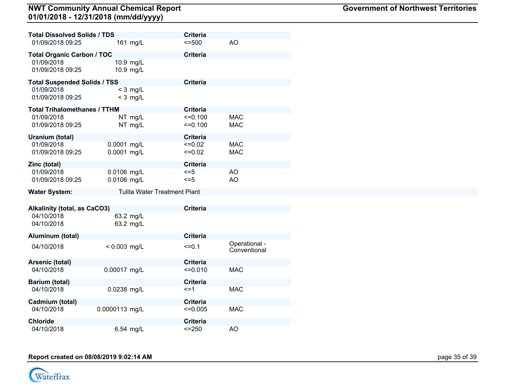| <b>Total Dissolved Solids / TDS</b> |                                     | <b>Criteria</b> |                               |
|-------------------------------------|-------------------------------------|-----------------|-------------------------------|
| 01/09/2018 09:25                    | 161 mg/L                            | 5500            | AO                            |
| <b>Total Organic Carbon / TOC</b>   |                                     | <b>Criteria</b> |                               |
| 01/09/2018                          | 10.9 mg/L                           |                 |                               |
| 01/09/2018 09:25                    | 10.9 mg/L                           |                 |                               |
| <b>Total Suspended Solids / TSS</b> |                                     | <b>Criteria</b> |                               |
| 01/09/2018                          | $<$ 3 mg/L                          |                 |                               |
| 01/09/2018 09:25                    | $<$ 3 mg/L                          |                 |                               |
| <b>Total Trihalomethanes / TTHM</b> |                                     | <b>Criteria</b> |                               |
| 01/09/2018                          | NT mg/L                             | $=0.100$        | <b>MAC</b>                    |
| 01/09/2018 09:25                    | NT mg/L                             | $=0.100$        | <b>MAC</b>                    |
| Uranium (total)                     |                                     | <b>Criteria</b> |                               |
| 01/09/2018                          | 0.0001 mg/L                         | $=0.02$         | <b>MAC</b>                    |
| 01/09/2018 09:25                    | 0.0001 mg/L                         | $\leq 0.02$     | <b>MAC</b>                    |
| Zinc (total)                        |                                     | <b>Criteria</b> |                               |
| 01/09/2018                          | 0.0106 mg/L                         | $\leq$ =5       | <b>AO</b>                     |
| 01/09/2018 09:25                    | 0.0106 mg/L                         | $\leq$ =5       | AO                            |
| <b>Water System:</b>                | <b>Tulita Water Treatment Plant</b> |                 |                               |
|                                     |                                     |                 |                               |
| <b>Alkalinity (total, as CaCO3)</b> |                                     | <b>Criteria</b> |                               |
| 04/10/2018                          | 63.2 mg/L                           |                 |                               |
| 04/10/2018                          | 63.2 mg/L                           |                 |                               |
| Aluminum (total)                    |                                     | <b>Criteria</b> |                               |
| 04/10/2018                          | $< 0.003$ mg/L                      | $=0.1$          | Operational -<br>Conventional |
| Arsenic (total)                     |                                     | <b>Criteria</b> |                               |
| 04/10/2018                          | 0.00017 mg/L                        | $=0.010$        | <b>MAC</b>                    |
| Barium (total)                      |                                     | <b>Criteria</b> |                               |
| 04/10/2018                          | 0.0238 mg/L                         | $\leq$ =1       | <b>MAC</b>                    |
| Cadmium (total)                     |                                     | <b>Criteria</b> |                               |
| 04/10/2018                          | 0.0000113 mg/L                      | $\leq 0.005$    | <b>MAC</b>                    |
| <b>Chloride</b>                     |                                     | <b>Criteria</b> |                               |
| 04/10/2018                          | 6.54 mg/L                           | $<=250$         | AO                            |

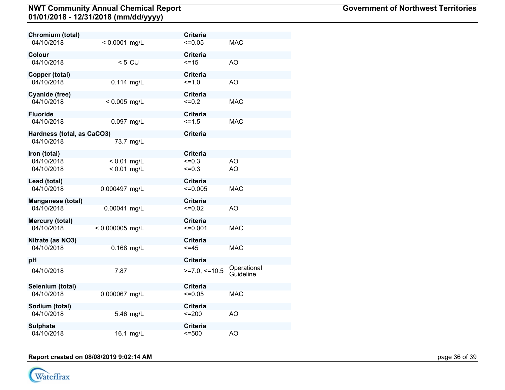|                   | <b>Criteria</b>                                                                                                 |                                                                                                                                                                                                               |
|-------------------|-----------------------------------------------------------------------------------------------------------------|---------------------------------------------------------------------------------------------------------------------------------------------------------------------------------------------------------------|
| $< 0.0001$ mg/L   | $=0.05$                                                                                                         | <b>MAC</b>                                                                                                                                                                                                    |
|                   | <b>Criteria</b>                                                                                                 |                                                                                                                                                                                                               |
| $< 5$ CU          | $=15$                                                                                                           | <b>AO</b>                                                                                                                                                                                                     |
|                   | <b>Criteria</b>                                                                                                 |                                                                                                                                                                                                               |
| $0.114$ mg/L      | $=1.0$                                                                                                          | AO                                                                                                                                                                                                            |
|                   |                                                                                                                 |                                                                                                                                                                                                               |
| $< 0.005$ mg/L    | $=0.2$                                                                                                          | <b>MAC</b>                                                                                                                                                                                                    |
|                   |                                                                                                                 |                                                                                                                                                                                                               |
| 0.097 mg/L        | $=1.5$                                                                                                          | <b>MAC</b>                                                                                                                                                                                                    |
|                   |                                                                                                                 |                                                                                                                                                                                                               |
|                   |                                                                                                                 |                                                                                                                                                                                                               |
|                   |                                                                                                                 |                                                                                                                                                                                                               |
|                   |                                                                                                                 | AO                                                                                                                                                                                                            |
|                   |                                                                                                                 | AO                                                                                                                                                                                                            |
|                   |                                                                                                                 |                                                                                                                                                                                                               |
|                   |                                                                                                                 |                                                                                                                                                                                                               |
|                   |                                                                                                                 | <b>MAC</b>                                                                                                                                                                                                    |
|                   | <b>Criteria</b>                                                                                                 |                                                                                                                                                                                                               |
| 0.00041 mg/L      |                                                                                                                 | AO                                                                                                                                                                                                            |
|                   | <b>Criteria</b>                                                                                                 |                                                                                                                                                                                                               |
| $< 0.000005$ mg/L | $=0.001$                                                                                                        | <b>MAC</b>                                                                                                                                                                                                    |
|                   | <b>Criteria</b>                                                                                                 |                                                                                                                                                                                                               |
| 0.168 mg/L        | $<=45$                                                                                                          | <b>MAC</b>                                                                                                                                                                                                    |
|                   |                                                                                                                 |                                                                                                                                                                                                               |
|                   |                                                                                                                 | Operational                                                                                                                                                                                                   |
|                   |                                                                                                                 | Guideline                                                                                                                                                                                                     |
|                   | <b>Criteria</b>                                                                                                 |                                                                                                                                                                                                               |
| 0.000067 mg/L     | $\leq 0.05$                                                                                                     | <b>MAC</b>                                                                                                                                                                                                    |
|                   | <b>Criteria</b>                                                                                                 |                                                                                                                                                                                                               |
| 5.46 mg/L         | $=200$                                                                                                          | AO                                                                                                                                                                                                            |
|                   |                                                                                                                 |                                                                                                                                                                                                               |
|                   |                                                                                                                 | AO                                                                                                                                                                                                            |
|                   | Hardness (total, as CaCO3)<br>73.7 mg/L<br>$< 0.01$ mg/L<br>$< 0.01$ mg/L<br>0.000497 mg/L<br>7.87<br>16.1 mg/L | <b>Criteria</b><br><b>Criteria</b><br><b>Criteria</b><br><b>Criteria</b><br>$=0.3$<br>$=0.3$<br><b>Criteria</b><br>$\leq 0.005$<br>$=0.02$<br><b>Criteria</b><br>$>=7.0,<=10.5$<br><b>Criteria</b><br>$= 500$ |

# **Report created on 08/08/2019 9:02:14 AM** page 36 of 39

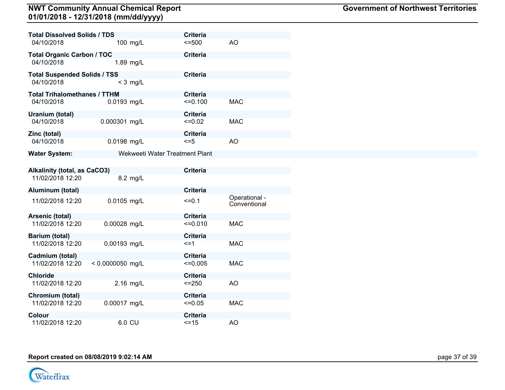| <b>Total Dissolved Solids / TDS</b> |                                | <b>Criteria</b> |                               |
|-------------------------------------|--------------------------------|-----------------|-------------------------------|
| 04/10/2018                          | 100 mg/L                       | $= 500$         | AO                            |
| <b>Total Organic Carbon / TOC</b>   |                                | <b>Criteria</b> |                               |
| 04/10/2018                          | 1.89 mg/L                      |                 |                               |
| <b>Total Suspended Solids / TSS</b> |                                | <b>Criteria</b> |                               |
| 04/10/2018                          | $<$ 3 mg/L                     |                 |                               |
| <b>Total Trihalomethanes / TTHM</b> |                                | <b>Criteria</b> |                               |
| 04/10/2018                          | 0.0193 mg/L                    | $=0.100$        | <b>MAC</b>                    |
| Uranium (total)                     |                                | <b>Criteria</b> |                               |
| 04/10/2018                          | 0.000301 mg/L                  | $\leq 0.02$     | <b>MAC</b>                    |
| Zinc (total)                        |                                | <b>Criteria</b> |                               |
| 04/10/2018                          | 0.0198 mg/L                    | $= 5$           | AO                            |
| <b>Water System:</b>                | Wekweeti Water Treatment Plant |                 |                               |
|                                     |                                |                 |                               |
| <b>Alkalinity (total, as CaCO3)</b> |                                | <b>Criteria</b> |                               |
| 11/02/2018 12:20                    | 8.2 mg/L                       |                 |                               |
| Aluminum (total)                    |                                | <b>Criteria</b> |                               |
| 11/02/2018 12:20                    | 0.0105 mg/L                    | $=0.1$          | Operational -<br>Conventional |
| Arsenic (total)                     |                                | <b>Criteria</b> |                               |
| 11/02/2018 12:20                    | 0.00028 mg/L                   | $=0.010$        | <b>MAC</b>                    |
| <b>Barium (total)</b>               |                                | <b>Criteria</b> |                               |
| 11/02/2018 12:20                    | 0.00193 mg/L                   | $\leq$ =1       | <b>MAC</b>                    |
| Cadmium (total)                     |                                | <b>Criteria</b> |                               |
| 11/02/2018 12:20                    | $< 0.0000050$ mg/L             | $\leq 0.005$    | <b>MAC</b>                    |
| <b>Chloride</b>                     |                                | <b>Criteria</b> |                               |
| 11/02/2018 12:20                    | 2.16 mg/L                      | $= 250$         | AO                            |
| Chromium (total)                    |                                | <b>Criteria</b> |                               |
| 11/02/2018 12:20                    | 0.00017 mg/L                   | $=0.05$         | <b>MAC</b>                    |
| Colour                              |                                | <b>Criteria</b> |                               |
| 11/02/2018 12:20                    | 6.0 CU                         | $=15$           | AO.                           |

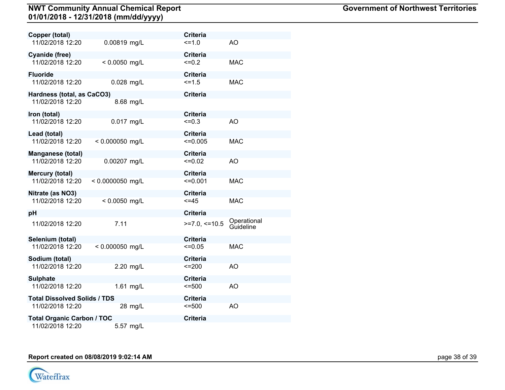| Copper (total)                       |                   |                 | <b>Criteria</b>             |                          |
|--------------------------------------|-------------------|-----------------|-----------------------------|--------------------------|
| 11/02/2018 12:20                     | 0.00819 mg/L      |                 | $=1.0$                      | AO                       |
| <b>Cyanide (free)</b>                |                   |                 | <b>Criteria</b>             |                          |
| 11/02/2018 12:20                     | $< 0.0050$ mg/L   |                 | $=0.2$                      | <b>MAC</b>               |
| <b>Fluoride</b>                      |                   |                 | <b>Criteria</b>             |                          |
| 11/02/2018 12:20                     | 0.028 mg/L        |                 | $5 = 1.5$                   | <b>MAC</b>               |
| Hardness (total, as CaCO3)           |                   | <b>Criteria</b> |                             |                          |
| 11/02/2018 12:20                     |                   | 8.68 mg/L       |                             |                          |
| Iron (total)                         |                   |                 | <b>Criteria</b>             |                          |
| 11/02/2018 12:20                     | 0.017 mg/L        |                 | $=0.3$                      | AO                       |
| Lead (total)                         |                   |                 | <b>Criteria</b>             |                          |
| 11/02/2018 12:20                     | $< 0.000050$ mg/L |                 | $\leq 0.005$                | <b>MAC</b>               |
| <b>Manganese (total)</b>             |                   |                 | <b>Criteria</b>             |                          |
| 11/02/2018 12:20                     | 0.00207 mg/L      |                 | $=0.02$                     | AO                       |
| Mercury (total)                      |                   |                 | <b>Criteria</b>             |                          |
| 11/02/2018 12:20                     | < 0.0000050 mg/L  |                 | $=0.001$                    | <b>MAC</b>               |
| Nitrate (as NO3)<br>11/02/2018 12:20 | $< 0.0050$ mg/L   |                 | <b>Criteria</b><br>$< = 45$ | <b>MAC</b>               |
|                                      |                   |                 |                             |                          |
| pH                                   |                   |                 | <b>Criteria</b>             |                          |
| 11/02/2018 12:20                     | 7.11              |                 | $>=7.0,<=10.5$              | Operational<br>Guideline |
| Selenium (total)                     |                   |                 | <b>Criteria</b>             |                          |
| 11/02/2018 12:20                     | < 0.000050 mg/L   |                 | $=0.05$                     | <b>MAC</b>               |
| Sodium (total)                       |                   |                 | <b>Criteria</b>             |                          |
| 11/02/2018 12:20                     |                   | 2.20 mg/L       | $=200$                      | AO                       |
| <b>Sulphate</b>                      |                   |                 | <b>Criteria</b>             |                          |
| 11/02/2018 12:20                     |                   | 1.61 mg/L       | $= 500$                     | AO                       |
| <b>Total Dissolved Solids / TDS</b>  |                   |                 | <b>Criteria</b>             |                          |
| 11/02/2018 12:20                     |                   | 28 mg/L         | $= 500$                     | AO                       |
| <b>Total Organic Carbon / TOC</b>    |                   |                 | <b>Criteria</b>             |                          |
| 11/02/2018 12:20                     |                   | 5.57 mg/L       |                             |                          |

**Report created on 08/08/2019 9:02:14 AM** page 18 of 39